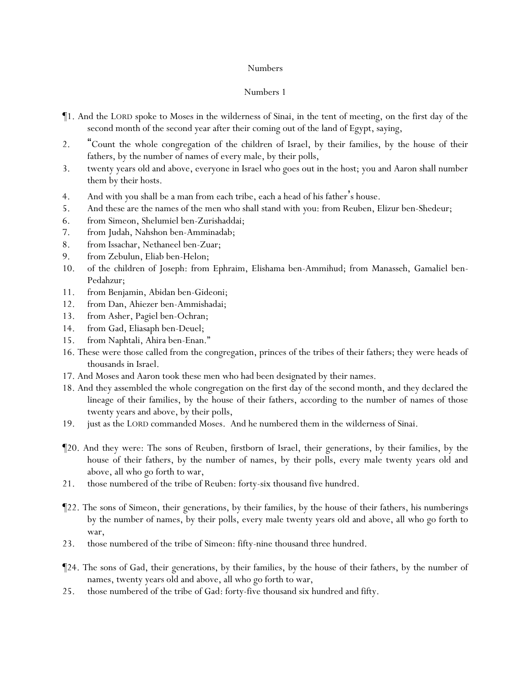- ¶1. And the LORD spoke to Moses in the wilderness of Sinai, in the tent of meeting, on the first day of the second month of the second year after their coming out of the land of Egypt, saying,
- 2. "Count the whole congregation of the children of Israel, by their families, by the house of their fathers, by the number of names of every male, by their polls,
- 3. twenty years old and above, everyone in Israel who goes out in the host; you and Aaron shall number them by their hosts.
- 4. And with *y*ou shall be a man from each tribe, each a head of his father's house.
- 5. And these are the names of the men who shall stand with *y*ou: from Reuben, Elizur ben-Shedeur;
- 6. from Simeon, Shelumiel ben-Zurishaddai;
- 7. from Judah, Nahshon ben-Amminadab;
- 8. from Issachar, Nethaneel ben-Zuar;
- 9. from Zebulun, Eliab ben-Helon;
- 10. of the children of Joseph: from Ephraim, Elishama ben-Ammihud; from Manasseh, Gamaliel ben-Pedahzur;
- 11. from Benjamin, Abidan ben-Gideoni;
- 12. from Dan, Ahiezer ben-Ammishadai;
- 13. from Asher, Pagiel ben-Ochran;
- 14. from Gad, Eliasaph ben-Deuel;
- 15. from Naphtali, Ahira ben-Enan."
- 16. These were those called from the congregation, princes of the tribes of their fathers; they were heads of thousands in Israel.
- 17. And Moses and Aaron took these men who had been designated by their names.
- 18. And they assembled the whole congregation on the first day of the second month, and they declared the lineage of their families, by the house of their fathers, according to the number of names of those twenty years and above, by their polls,
- 19. just as the LORD commanded Moses. And he numbered them in the wilderness of Sinai.
- ¶20. And they were: The sons of Reuben, firstborn of Israel, their generations, by their families, by the house of their fathers, by the number of names, by their polls, every male twenty years old and above, all who go forth to war,
- 21. those numbered of the tribe of Reuben: forty-six thousand five hundred.
- ¶22. The sons of Simeon, their generations, by their families, by the house of their fathers, his numberings by the number of names, by their polls, every male twenty years old and above, all who go forth to war,
- 23. those numbered of the tribe of Simeon: fifty-nine thousand three hundred.
- ¶24. The sons of Gad, their generations, by their families, by the house of their fathers, by the number of names, twenty years old and above, all who go forth to war,
- 25. those numbered of the tribe of Gad: forty-five thousand six hundred and fifty.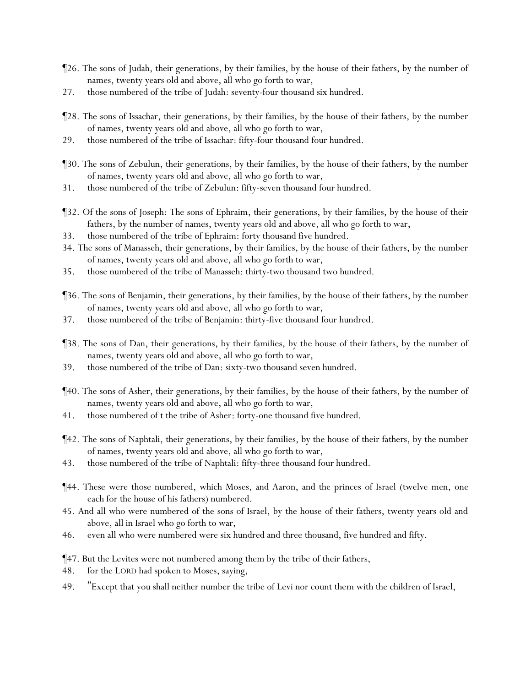- ¶26. The sons of Judah, their generations, by their families, by the house of their fathers, by the number of names, twenty years old and above, all who go forth to war,
- 27. those numbered of the tribe of Judah: seventy-four thousand six hundred.
- ¶28. The sons of Issachar, their generations, by their families, by the house of their fathers, by the number of names, twenty years old and above, all who go forth to war,
- 29. those numbered of the tribe of Issachar: fifty-four thousand four hundred.
- ¶30. The sons of Zebulun, their generations, by their families, by the house of their fathers, by the number of names, twenty years old and above, all who go forth to war,
- 31. those numbered of the tribe of Zebulun: fifty-seven thousand four hundred.
- ¶32. Of the sons of Joseph: The sons of Ephraim, their generations, by their families, by the house of their fathers, by the number of names, twenty years old and above, all who go forth to war,
- 33. those numbered of the tribe of Ephraim: forty thousand five hundred.
- 34. The sons of Manasseh, their generations, by their families, by the house of their fathers, by the number of names, twenty years old and above, all who go forth to war,
- 35. those numbered of the tribe of Manasseh: thirty-two thousand two hundred.
- ¶36. The sons of Benjamin, their generations, by their families, by the house of their fathers, by the number of names, twenty years old and above, all who go forth to war,
- 37. those numbered of the tribe of Benjamin: thirty-five thousand four hundred.
- ¶38. The sons of Dan, their generations, by their families, by the house of their fathers, by the number of names, twenty years old and above, all who go forth to war,
- 39. those numbered of the tribe of Dan: sixty-two thousand seven hundred.
- ¶40. The sons of Asher, their generations, by their families, by the house of their fathers, by the number of names, twenty years old and above, all who go forth to war,
- 41. those numbered of t the tribe of Asher: forty-one thousand five hundred.
- ¶42. The sons of Naphtali, their generations, by their families, by the house of their fathers, by the number of names, twenty years old and above, all who go forth to war,
- 43. those numbered of the tribe of Naphtali: fifty-three thousand four hundred.
- ¶44. These were those numbered, which Moses, and Aaron, and the princes of Israel (twelve men, one each for the house of his fathers) numbered.
- 45. And all who were numbered of the sons of Israel, by the house of their fathers, twenty years old and above, all in Israel who go forth to war,
- 46. even all who were numbered were six hundred and three thousand, five hundred and fifty.
- ¶47. But the Levites were not numbered among them by the tribe of their fathers,
- 48. for the LORD had spoken to Moses, saying,
- 49. "Except that you shall neither number the tribe of Levi nor count them with the children of Israel,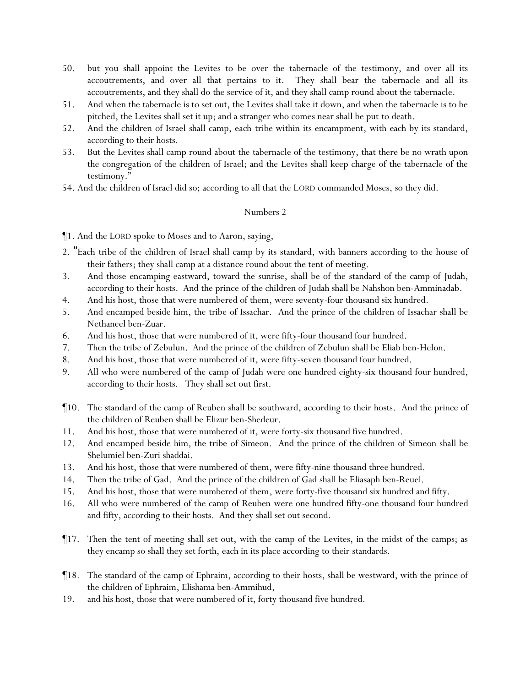- 50. but you shall appoint the Levites to be over the tabernacle of the testimony, and over all its accoutrements, and over all that pertains to it. They shall bear the tabernacle and all its accoutrements, and they shall do the service of it, and they shall camp round about the tabernacle.
- 51. And when the tabernacle is to set out, the Levites shall take it down, and when the tabernacle is to be pitched, the Levites shall set it up; and a stranger who comes near shall be put to death.
- 52. And the children of Israel shall camp, each *tribe* within its encampment, with each by its standard, according to their hosts.
- 53. But the Levites shall camp round about the tabernacle of the testimony, that there be no wrath upon the congregation of the children of Israel; and the Levites shall keep charge of the tabernacle of the testimony."
- 54. And the children of Israel did so; according to all that the LORD commanded Moses, so they did.

¶1. And the LORD spoke to Moses and to Aaron, saying,

- 2. "Each *tribe* of the children of Israel shall camp by its standard, with banners according to the house of their fathers; they shall camp at a distance round about the tent of meeting.
- 3. And those encamping eastward, toward the sunrise, shall be of the standard of the camp of Judah, according to their hosts. And the prince of the children of Judah shall be Nahshon ben-Amminadab.
- 4. And his host, those that were numbered of them, were seventy-four thousand six hundred.
- 5. And encamped beside him, the tribe of Issachar. And the prince of the children of Issachar shall be Nethaneel ben-Zuar.
- 6. And his host, those that were numbered of it, were fifty-four thousand four hundred.
- 7. Then the tribe of Zebulun. And the prince of the children of Zebulun shall be Eliab ben-Helon.
- 8. And his host, those that were numbered of it, were fifty-seven thousand four hundred.
- 9. All who were numbered of the camp of Judah were one hundred eighty-six thousand four hundred, according to their hosts. They shall set out first.
- ¶10. The standard of the camp of Reuben shall be southward, according to their hosts. And the prince of the children of Reuben shall be Elizur ben-Shedeur.
- 11. And his host, those that were numbered of it, were forty-six thousand five hundred.
- 12. And encamped beside him, the tribe of Simeon. And the prince of the children of Simeon shall be Shelumiel ben-Zuri shaddai.
- 13. And his host, those that were numbered of them, were fifty-nine thousand three hundred.
- 14. Then the tribe of Gad. And the prince of the children of Gad shall be Eliasaph ben-Reuel.
- 15. And his host, those that were numbered of them, were forty-five thousand six hundred and fifty.
- 16. All who were numbered of the camp of Reuben were one hundred fifty-one thousand four hundred and fifty, according to their hosts. And they shall set out second.
- ¶17. Then the tent of meeting shall set out, with the camp of the Levites, in the midst of the camps; as they encamp so shall they set forth, each in its place according to their standards.
- ¶18. The standard of the camp of Ephraim, according to their hosts, shall be westward, with the prince of the children of Ephraim, Elishama ben-Ammihud,
- 19. and his host, those that were numbered of it, forty thousand five hundred.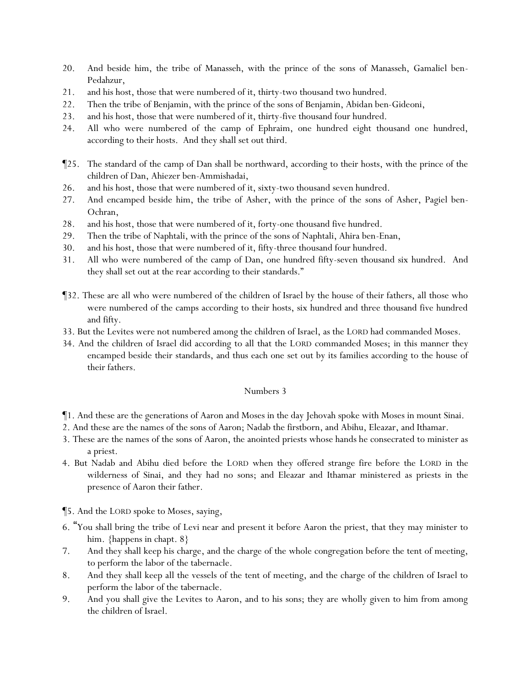- 20. And beside him, the tribe of Manasseh, with the prince of the sons of Manasseh, Gamaliel ben-Pedahzur,
- 21. and his host, those that were numbered of it, thirty-two thousand two hundred.
- 22. Then the tribe of Benjamin, with the prince of the sons of Benjamin, Abidan ben-Gideoni,
- 23. and his host, those that were numbered of it, thirty-five thousand four hundred.
- 24. All who were numbered of the camp of Ephraim, one hundred eight thousand one hundred, according to their hosts. And they shall set out third.
- ¶25. The standard of the camp of Dan shall be northward, according to their hosts, with the prince of the children of Dan, Ahiezer ben-Ammishadai,
- 26. and his host, those that were numbered of it, sixty-two thousand seven hundred.
- 27. And encamped beside him, the tribe of Asher, with the prince of the sons of Asher, Pagiel ben-Ochran,
- 28. and his host, those that were numbered of it, forty-one thousand five hundred.
- 29. Then the tribe of Naphtali, with the prince of the sons of Naphtali, Ahira ben-Enan,
- 30. and his host, those that were numbered of it, fifty-three thousand four hundred.
- 31. All who were numbered of the camp of Dan, one hundred fifty-seven thousand six hundred. And they shall set out at the rear according to their standards."
- ¶32. These are all who were numbered of the children of Israel by the house of their fathers, all those who were numbered of the camps according to their hosts, six hundred and three thousand five hundred and fifty.
- 33. But the Levites were not numbered among the children of Israel, as the LORD had commanded Moses.
- 34. And the children of Israel did according to all that the LORD commanded Moses; in this manner they encamped beside their standards, and thus each one set out by its families according to the house of their fathers.

- ¶1. And these are the generations of Aaron and Moses in the day Jehovah spoke with Moses in mount Sinai.
- 2. And these are the names of the sons of Aaron; Nadab the firstborn, and Abihu, Eleazar, and Ithamar.
- 3. These are the names of the sons of Aaron, the anointed priests whose hands he consecrated to minister as a priest.
- 4. But Nadab and Abihu died before the LORD when they offered strange fire before the LORD in the wilderness of Sinai, and they had no sons; and Eleazar and Ithamar ministered as priests in the presence of Aaron their father.

¶5. And the LORD spoke to Moses, saying,

- 6. "You shall bring the tribe of Levi near and present it before Aaron the priest, that they may minister to him. {happens in chapt. 8}
- 7. And they shall keep his charge, and the charge of the whole congregation before the tent of meeting, to perform the labor of the tabernacle.
- 8. And they shall keep all the vessels of the tent of meeting, and the charge of the children of Israel to perform the labor of the tabernacle.
- 9. And you shall give the Levites to Aaron, and to his sons; they are wholly given to him from among the children of Israel.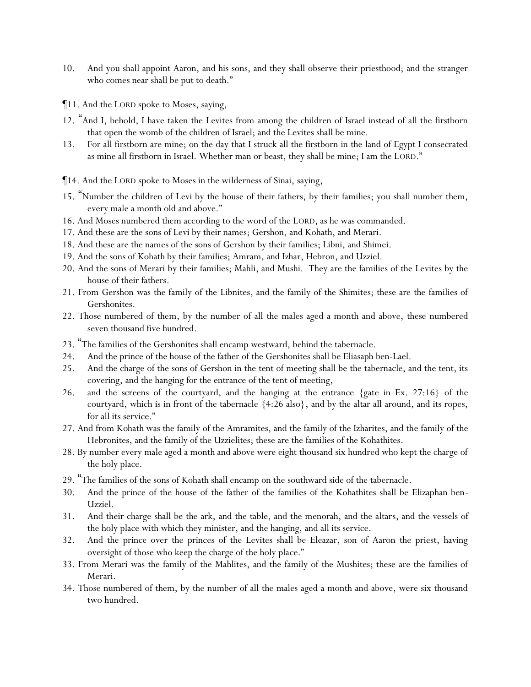- 10. And you shall appoint Aaron, and his sons, and they shall observe their priesthood; and the stranger who comes near shall be put to death."
- ¶11. And the LORD spoke to Moses, saying,
- 12. "And I, behold, I have taken the Levites from among the children of Israel instead of all the firstborn that open the womb of the children of Israel; and the Levites shall be mine.
- 13. For all firstborn are mine; on the day that I struck all the firstborn in the land of Egypt I consecrated as mine all firstborn in Israel. Whether man or beast, they shall be mine; I am the LORD."
- ¶14. And the LORD spoke to Moses in the wilderness of Sinai, saying,
- 15. "Number the children of Levi by the house of their fathers, by their families; you shall number them, every male a month old and above."
- 16. And Moses numbered them according to the word of the LORD, as he was commanded.
- 17. And these are the sons of Levi by their names; Gershon, and Kohath, and Merari.
- 18. And these are the names of the sons of Gershon by their families; Libni, and Shimei.
- 19. And the sons of Kohath by their families; Amram, and Izhar, Hebron, and Uzziel.
- 20. And the sons of Merari by their families; Mahli, and Mushi. They are the families of the Levites by the house of their fathers.
- 21. From Gershon was the family of the Libnites, and the family of the Shimites; these are the families of Gershonites.
- 22. Those numbered of them, by the number of all the males aged a month and above, these numbered seven thousand five hundred.
- 23. "The families of the Gershonites shall encamp westward, behind the tabernacle.
- 24. And the prince of the house of the father of the Gershonites shall be Eliasaph ben-Lael.
- 25. And the charge of the sons of Gershon in the tent of meeting shall be the tabernacle, and the tent, its covering, and the hanging for the entrance of the tent of meeting,
- 26. and the screens of the courtyard, and the hanging at the entrance {gate in Ex. 27:16} of the courtyard, which is in front of the tabernacle {4:26 also}, and by the altar all around, and its ropes, for all its service."
- 27. And from Kohath was the family of the Amramites, and the family of the Izharites, and the family of the Hebronites, and the family of the Uzzielites; these are the families of the Kohathites.
- 28. By number every male aged a month and above were eight thousand six hundred who kept the charge of the holy place.
- 29. "The families of the sons of Kohath shall encamp on the southward side of the tabernacle.
- 30. And the prince of the house of the father of the families of the Kohathites shall be Elizaphan ben-Uzziel.
- 31. And their charge shall be the ark, and the table, and the menorah, and the altars, and the vessels of the holy place with which they minister, and the hanging, and all its service.
- 32. And the prince over the princes of the Levites shall be Eleazar, son of Aaron the priest, having oversight of those who keep the charge of the holy place."
- 33. From Merari was the family of the Mahlites, and the family of the Mushites; these are the families of Merari.
- 34. Those numbered of them, by the number of all the males aged a month and above, were six thousand two hundred.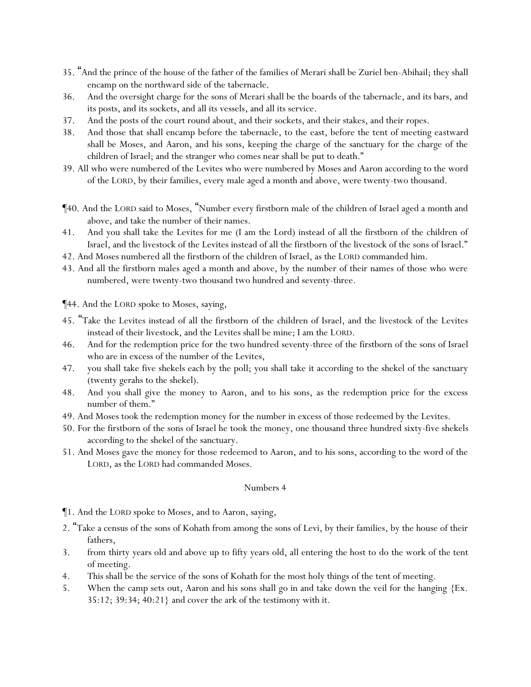- 35. "And the prince of the house of the father of the families of Merari shall be Zuriel ben-Abihail; they shall encamp on the northward side of the tabernacle.
- 36. And the oversight charge for the sons of Merari shall be the boards of the tabernacle, and its bars, and its posts, and its sockets, and all its vessels, and all its service.
- 37. And the posts of the court round about, and their sockets, and their stakes, and their ropes.
- 38. And those that shall encamp before the tabernacle, to the east, before the tent of meeting eastward shall be Moses, and Aaron, and his sons, keeping the charge of the sanctuary for the charge of the children of Israel; and the stranger who comes near shall be put to death."
- 39. All who were numbered of the Levites who were numbered by Moses and Aaron according to the word of the LORD, by their families, every male aged a month and above, were twenty-two thousand.
- ¶40. And the LORD said to Moses, "Number every firstborn male of the children of Israel aged a month and above, and take the number of their names.
- 41. And you shall take the Levites for me (I am the Lord) instead of all the firstborn of the children of Israel, and the livestock of the Levites instead of all the firstborn of the livestock of the sons of Israel."
- 42. And Moses numbered all the firstborn of the children of Israel, as the LORD commanded him.
- 43. And all the firstborn males aged a month and above, by the number of their names of those who were numbered, were twenty-two thousand two hundred and seventy-three.

¶44. And the LORD spoke to Moses, saying,

- 45. "Take the Levites instead of all the firstborn of the children of Israel, and the livestock of the Levites instead of their livestock, and the Levites shall be mine; I am the LORD.
- 46. And for the redemption price for the two hundred seventy-three of the firstborn of the sons of Israel who are in excess of the number of the Levites,
- 47. you shall take five shekels each by the poll; you shall take it according to the shekel of the sanctuary (twenty gerahs to the shekel).
- 48. And you shall give the money to Aaron, and to his sons, as the redemption price for the excess number of them."
- 49. And Moses took the redemption money for the number in excess of those redeemed by the Levites.
- 50. For the firstborn of the sons of Israel he took the money, one thousand three hundred sixty-five shekels according to the shekel of the sanctuary.
- 51. And Moses gave the money for those redeemed to Aaron, and to his sons, according to the word of the LORD, as the LORD had commanded Moses.

#### Numbers 4

¶1. And the LORD spoke to Moses, and to Aaron, saying,

- 2. "Take a census of the sons of Kohath from among the sons of Levi, by their families, by the house of their fathers,
- 3. from thirty years old and above up to fifty years old, all entering the host to do the work of the tent of meeting.
- 4. This shall be the service of the sons of Kohath for the most holy things of the tent of meeting.
- 5. When the camp sets out, Aaron and his sons shall go in and take down the veil for the hanging {Ex. 35:12; 39:34; 40:21} and cover the ark of the testimony with it.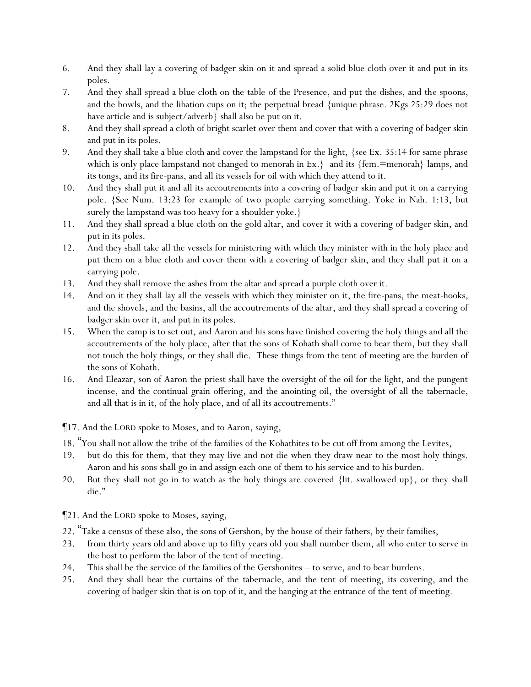- 6. And they shall lay a covering of badger skin on it and spread a solid blue cloth over it and put in its poles.
- 7. And they shall spread a blue cloth on the table of the Presence, and put the dishes, and the spoons, and the bowls, and the libation cups on it; the perpetual bread {unique phrase. 2Kgs 25:29 does not have article and is subject/adverb} shall also be put on it.
- 8. And they shall spread a cloth of bright scarlet over them and cover that with a covering of badger skin and put in its poles.
- 9. And they shall take a blue cloth and cover the lampstand for the light, {see Ex. 35:14 for same phrase which is only place lampstand not changed to menorah in  $Ex.\}$  and its  $\{fem = menorah\}$  lamps, and its tongs, and its fire-pans, and all its vessels for oil with which they attend to it.
- 10. And they shall put it and all its accoutrements into a covering of badger skin and put it on a carrying pole. {See Num. 13:23 for example of two people carrying something. Yoke in Nah. 1:13, but surely the lampstand was too heavy for a shoulder yoke.}
- 11. And they shall spread a blue cloth on the gold altar, and cover it with a covering of badger skin, and put in its poles.
- 12. And they shall take all the vessels for ministering with which they minister with in the holy place and put them on a blue cloth and cover them with a covering of badger skin, and they shall put it on a carrying pole.
- 13. And they shall remove the ashes from the altar and spread a purple cloth over it.
- 14. And on it they shall lay all the vessels with which they minister on it, the fire-pans, the meat-hooks, and the shovels, and the basins, all the accoutrements of the altar, and they shall spread a covering of badger skin over it, and put in its poles.
- 15. When the camp is to set out, and Aaron and his sons have finished covering the holy things and all the accoutrements of the holy place, after that the sons of Kohath shall come to bear them, but they shall not touch the holy things, or they shall die. These things from the tent of meeting are the burden of the sons of Kohath.
- 16. And Eleazar, son of Aaron the priest shall have the oversight of the oil for the light, and the pungent incense, and the continual grain offering, and the anointing oil, the oversight of all the tabernacle, and all that is in it, of the holy place, and of all its accoutrements."

¶17. And the LORD spoke to Moses, and to Aaron, saying,

- 18. "You shall not allow the tribe of the families of the Kohathites to be cut off from among the Levites,
- 19. but do this for them, that they may live and not die when they draw near to the most holy things. Aaron and his sons shall go in and assign each one of them to his service and to his burden.
- 20. But they shall not go in to watch as the holy things are covered {lit. swallowed up}, or they shall die."

¶21. And the LORD spoke to Moses, saying,

- 22. "Take a census of these also, the sons of Gershon, by the house of their fathers, by their families,
- 23. from thirty years old and above up to fifty years old you shall number them, all who enter to serve in the host to perform the labor of the tent of meeting.
- 24. This shall be the service of the families of the Gershonites to serve, and to bear burdens.
- 25. And they shall bear the curtains of the tabernacle, and the tent of meeting, its covering, and the covering of badger skin that is on top of it, and the hanging at the entrance of the tent of meeting.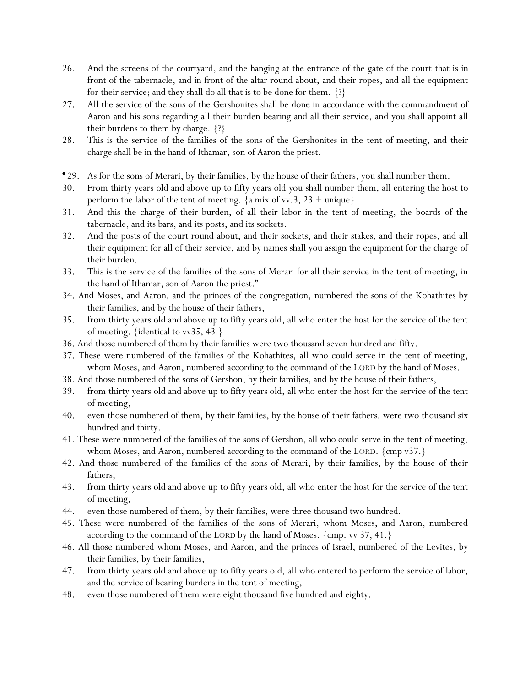- 26. And the screens of the courtyard, and the hanging at the entrance of the gate of the court that is in front of the tabernacle, and in front of the altar round about, and their ropes, and all the equipment for their service; and they shall do all that is to be done for them. {?}
- 27. All the service of the sons of the Gershonites shall be done in accordance with the commandment of Aaron and his sons regarding all their burden bearing and all their service, and you shall appoint all their burdens to them by charge. {?}
- 28. This is the service of the families of the sons of the Gershonites in the tent of meeting, and their charge shall be in the hand of Ithamar, son of Aaron the priest.
- ¶29. As for the sons of Merari, by their families, by the house of their fathers, you shall number them.
- 30. From thirty years old and above up to fifty years old you shall number them, all entering the host to perform the labor of the tent of meeting.  $\{a mix of vv.3, 23 + unique\}$
- 31. And this the charge of their burden, of all their labor in the tent of meeting, the boards of the tabernacle, and its bars, and its posts, and its sockets.
- 32. And the posts of the court round about, and their sockets, and their stakes, and their ropes, and all their equipment for all of their service, and by names shall you assign the equipment for the charge of their burden.
- 33. This is the service of the families of the sons of Merari for all their service in the tent of meeting, in the hand of Ithamar, son of Aaron the priest."
- 34. And Moses, and Aaron, and the princes of the congregation, numbered the sons of the Kohathites by their families, and by the house of their fathers,
- 35. from thirty years old and above up to fifty years old, all who enter the host for the service of the tent of meeting. {identical to vv35, 43.}
- 36. And those numbered of them by their families were two thousand seven hundred and fifty.
- 37. These were numbered of the families of the Kohathites, all who could serve in the tent of meeting, whom Moses, and Aaron, numbered according to the command of the LORD by the hand of Moses.
- 38. And those numbered of the sons of Gershon, by their families, and by the house of their fathers,
- 39. from thirty years old and above up to fifty years old, all who enter the host for the service of the tent of meeting,
- 40. even those numbered of them, by their families, by the house of their fathers, were two thousand six hundred and thirty.
- 41. These were numbered of the families of the sons of Gershon, all who could serve in the tent of meeting, whom Moses, and Aaron, numbered according to the command of the LORD. {cmp v37.}
- 42. And those numbered of the families of the sons of Merari, by their families, by the house of their fathers,
- 43. from thirty years old and above up to fifty years old, all who enter the host for the service of the tent of meeting,
- 44. even those numbered of them, by their families, were three thousand two hundred.
- 45. These were numbered of the families of the sons of Merari, whom Moses, and Aaron, numbered according to the command of the LORD by the hand of Moses.  $\{cm, vv 37, 41. \}$
- 46. All those numbered whom Moses, and Aaron, and the princes of Israel, numbered of the Levites, by their families, by their families,
- 47. from thirty years old and above up to fifty years old, all who entered to perform the service of labor, and the service of bearing burdens in the tent of meeting,
- 48. even those numbered of them were eight thousand five hundred and eighty.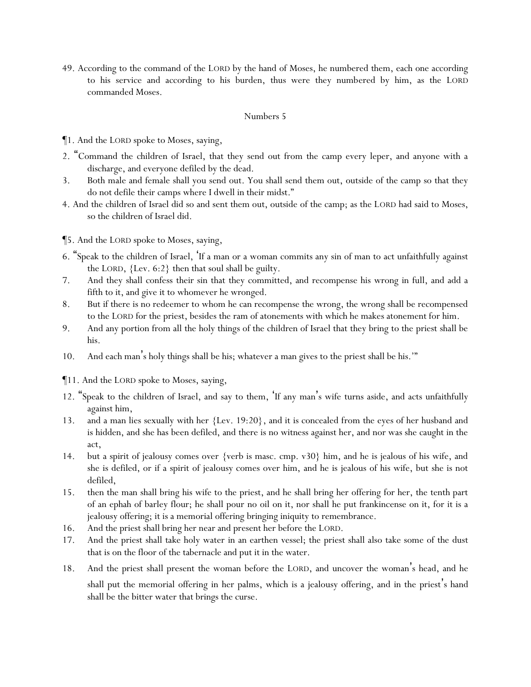49. According to the command of the LORD by the hand of Moses, he numbered them, each one according to his service and according to his burden, thus were they numbered by him, as the LORD commanded Moses.

### Numbers 5

¶1. And the LORD spoke to Moses, saying,

- 2. "Command the children of Israel, that they send out from the camp every leper, and anyone with a discharge, and everyone defiled by the dead.
- 3. Both male and female shall you send out. You shall send them out, outside of the camp so that they do not defile their camps where I dwell in their midst."
- 4. And the children of Israel did so and sent them out, outside of the camp; as the LORD had said to Moses, so the children of Israel did.
- ¶5. And the LORD spoke to Moses, saying,
- 6. "Speak to the children of Israel, 'If a man or a woman commits any sin of man to act unfaithfully against the LORD, {Lev. 6:2} then that soul shall be guilty.
- 7. And they shall confess their sin that they committed, and recompense his wrong in full, and add a fifth to it, and give it to whomever he wronged.
- 8. But if there is no redeemer to whom he can recompense the wrong, the wrong shall be recompensed to the LORD for the priest, besides the ram of atonements with which he makes atonement for him.
- 9. And any portion from all the holy things of the children of Israel that they bring to the priest shall be his.
- 10. And each man's holy things shall be his; whatever a man gives to the priest shall be his.'"
- ¶11. And the LORD spoke to Moses, saying,
- 12. "Speak to the children of Israel, and say to them, 'If any man's wife turns aside, and acts unfaithfully against him,
- 13. and a man lies sexually with her {Lev. 19:20}, and it is concealed from the eyes of her husband and is hidden, and she has been defiled, and there is no witness against her, and nor was she caught in the act,
- 14. but a spirit of jealousy comes over {verb is masc. cmp. v30} him, and he is jealous of his wife, and she is defiled, or if a spirit of jealousy comes over him, and he is jealous of his wife, but she is not defiled,
- 15. then the man shall bring his wife to the priest, and he shall bring her offering for her, the tenth part of an ephah of barley flour; he shall pour no oil on it, nor shall he put frankincense on it, for it is a jealousy offering; it is a memorial offering bringing iniquity to remembrance.
- 16. And the priest shall bring her near and present her before the LORD.
- 17. And the priest shall take holy water in an earthen vessel; the priest shall also take some of the dust that is on the floor of the tabernacle and put it in the water.
- 18. And the priest shall present the woman before the LORD, and uncover the woman's head, and he shall put the memorial offering in her palms, which is a jealousy offering, and in the priest's hand shall be the bitter water that brings the curse.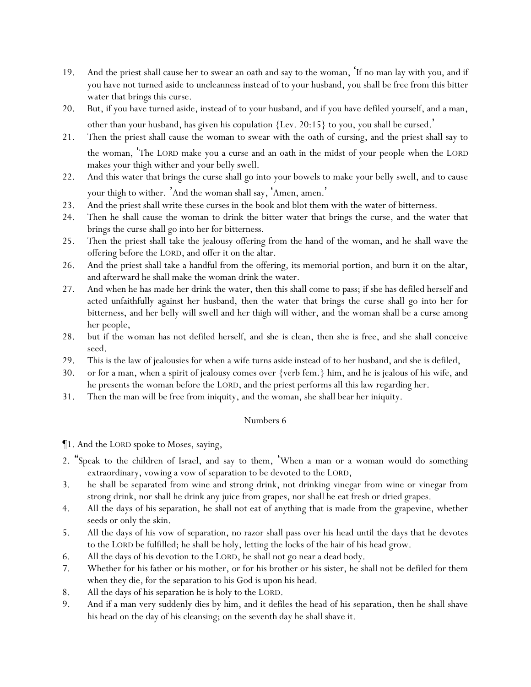- 19. And the priest shall cause her to swear an oath and say to the woman, 'If no man lay with you, and if you have not turned aside to uncleanness instead of to your husband, you shall be free from this bitter water that brings this curse.
- 20. But, if you have turned aside, instead of to your husband, and if you have defiled yourself, and a man, other than your husband, has given his copulation  $\{Lev. 20:15\}$  to you, you shall be cursed.
- 21. Then the priest shall cause the woman to swear with the oath of cursing, and the priest shall say to the woman, 'The LORD make you a curse and an oath in the midst of your people when the LORD makes your thigh wither and your belly swell.
- 22. And this water that brings the curse shall go into your bowels to make your belly swell, and to cause your thigh to wither. 'And the woman shall say, 'Amen, amen. '
- 23. And the priest shall write these curses in the book and blot them with the water of bitterness.
- 24. Then he shall cause the woman to drink the bitter water that brings the curse, and the water that brings the curse shall go into her for bitterness.
- 25. Then the priest shall take the jealousy offering from the hand of the woman, and he shall wave the offering before the LORD, and offer it on the altar.
- 26. And the priest shall take a handful from the offering, its memorial portion, and burn it on the altar, and afterward he shall make the woman drink the water.
- 27. And when he has made her drink the water, then this shall come to pass; if she has defiled herself and acted unfaithfully against her husband, then the water that brings the curse shall go into her for bitterness, and her belly will swell and her thigh will wither, and the woman shall be a curse among her people,
- 28. but if the woman has not defiled herself, and she is clean, then she is free, and she shall conceive seed.
- 29. This is the law of jealousies for when a wife turns aside instead of to her husband, and she is defiled,
- 30. or for a man, when a spirit of jealousy comes over {verb fem.} him, and he is jealous of his wife, and he presents the woman before the LORD, and the priest performs all this law regarding her.
- 31. Then the man will be free from iniquity, and the woman, she shall bear her iniquity.

¶1. And the LORD spoke to Moses, saying,

- 2. "Speak to the children of Israel, and say to them, 'When a man or a woman would do something extraordinary, vowing a vow of separation to be devoted to the LORD,
- 3. he shall be separated from wine and strong drink, not drinking vinegar from wine or vinegar from strong drink, nor shall he drink any juice from grapes, nor shall he eat fresh or dried grapes.
- 4. All the days of his separation, he shall not eat of anything that is made from the grapevine, whether seeds or only the skin.
- 5. All the days of his vow of separation, no razor shall pass over his head until the days that he devotes to the LORD be fulfilled; he shall be holy, letting the locks of the hair of his head grow.
- 6. All the days of his devotion to the LORD, he shall not go near a dead body.
- 7. Whether for his father or his mother, or for his brother or his sister, he shall not be defiled for them when they die, for the separation to his God is upon his head.
- 8. All the days of his separation he is holy to the LORD.
- 9. And if a man very suddenly dies by him, and it defiles the head of his separation, then he shall shave his head on the day of his cleansing; on the seventh day he shall shave it.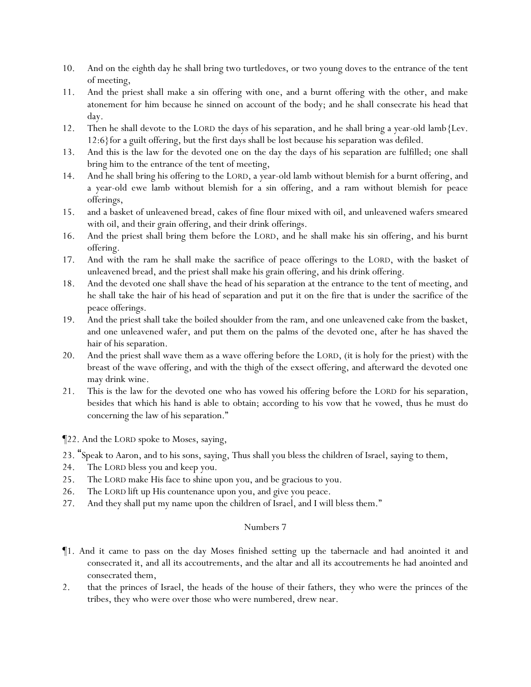- 10. And on the eighth day he shall bring two turtledoves, or two young doves to the entrance of the tent of meeting,
- 11. And the priest shall make a sin offering with one, and a burnt offering with the other, and make atonement for him because he sinned on account of the body; and he shall consecrate his head that day.
- 12. Then he shall devote to the LORD the days of his separation, and he shall bring a year-old lamb{Lev. 12:6}for a guilt offering, but the first days shall be lost because his separation was defiled.
- 13. And this is the law for the devoted one on the day the days of his separation are fulfilled; one shall bring him to the entrance of the tent of meeting,
- 14. And he shall bring his offering to the LORD, a year-old lamb without blemish for a burnt offering, and a year-old ewe lamb without blemish for a sin offering, and a ram without blemish for peace offerings,
- 15. and a basket of unleavened bread, cakes of fine flour mixed with oil, and unleavened wafers smeared with oil, and their grain offering, and their drink offerings.
- 16. And the priest shall bring them before the LORD, and he shall make his sin offering, and his burnt offering.
- 17. And with the ram he shall make the sacrifice of peace offerings to the LORD, with the basket of unleavened bread, and the priest shall make his grain offering, and his drink offering.
- 18. And the devoted one shall shave the head of his separation at the entrance to the tent of meeting, and he shall take the hair of his head of separation and put it on the fire that is under the sacrifice of the peace offerings.
- 19. And the priest shall take the boiled shoulder from the ram, and one unleavened cake from the basket, and one unleavened wafer, and put them on the palms of the devoted one, after he has shaved the hair of his separation.
- 20. And the priest shall wave them as a wave offering before the LORD, (it is holy for the priest) with the breast of the wave offering, and with the thigh of the exsect offering, and afterward the devoted one may drink wine.
- 21. This is the law for the devoted one who has vowed his offering before the LORD for his separation, besides that which his hand is able to obtain; according to his vow that he vowed, thus he must do concerning the law of his separation."

¶22. And the LORD spoke to Moses, saying,

- 23. "Speak to Aaron, and to his sons, saying, Thus shall you bless the children of Israel, saying to them,
- 24. The LORD bless you and keep you.
- 25. The LORD make His face to shine upon you, and be gracious to you.
- 26. The LORD lift up His countenance upon you, and give you peace.
- 27. And they shall put my name upon the children of Israel, and I will bless them."

- ¶1. And it came to pass on the day Moses finished setting up the tabernacle and had anointed it and consecrated it, and all its accoutrements, and the altar and all its accoutrements he had anointed and consecrated them,
- 2. that the princes of Israel, the heads of the house of their fathers, they who were the princes of the tribes, they who were over those who were numbered, drew near.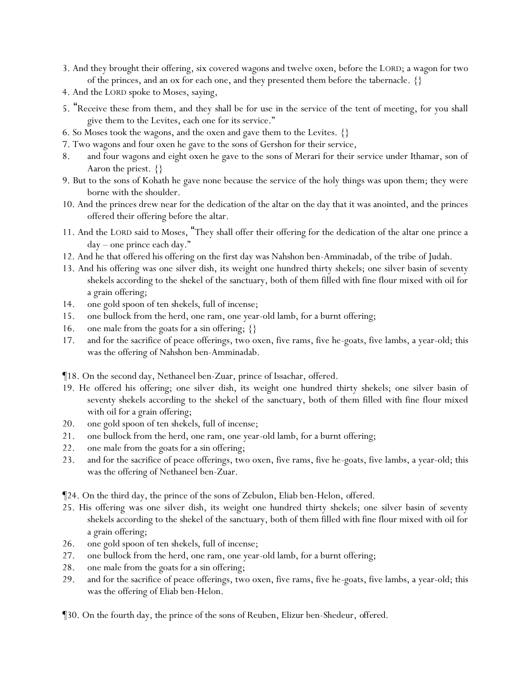- 3. And they brought their offering, six covered wagons and twelve oxen, before the LORD; a wagon for two of the princes, and an ox for each one, and they presented them before the tabernacle. {}
- 4. And the LORD spoke to Moses, saying,
- 5. "Receive these from them, and they shall be for use in the service of the tent of meeting, for you shall give them to the Levites, each one for its service."
- 6. So Moses took the wagons, and the oxen and gave them to the Levites. {}
- 7. Two wagons and four oxen he gave to the sons of Gershon for their service,
- 8. and four wagons and eight oxen he gave to the sons of Merari for their service under Ithamar, son of Aaron the priest. {}
- 9. But to the sons of Kohath he gave none because the service of the holy *things* was upon them; they were borne with the shoulder.
- 10. And the princes drew near for the dedication of the altar on the day that it was anointed, and the princes offered their offering before the altar.
- 11. And the LORD said to Moses, "They shall offer their offering for the dedication of the altar one prince a day – one prince each day."
- 12. And he that offered his offering on the first day was Nahshon ben-Amminadab, of the tribe of Judah.
- 13. And his offering was one silver dish, its weight one hundred thirty shekels; one silver basin of seventy shekels according to the shekel of the sanctuary, both of them filled with fine flour mixed with oil for a grain offering;
- 14. one gold spoon of ten *shekels*, full of incense;
- 15. one bullock from the herd, one ram, one year-old lamb, for a burnt offering;
- 16. one male from the goats for a sin offering;  $\{\}$
- 17. and for the sacrifice of peace offerings, two oxen, five rams, five he-goats, five lambs, a year-old; this was the offering of Nahshon ben-Amminadab.

¶18. On the second day, Nethaneel ben-Zuar, prince of Issachar, offered.

- 19. He offered his offering; one silver dish, its weight one hundred thirty shekels; one silver basin of seventy shekels according to the shekel of the sanctuary, both of them filled with fine flour mixed with oil for a grain offering;
- 20. one gold spoon of ten *shekels*, full of incense;
- 21. one bullock from the herd, one ram, one year-old lamb, for a burnt offering;
- 22. one male from the goats for a sin offering;
- 23. and for the sacrifice of peace offerings, two oxen, five rams, five he-goats, five lambs, a year-old; this was the offering of Nethaneel ben-Zuar.

¶24. On the third day, the prince of the sons of Zebulon, Eliab ben-Helon, *offered*.

- 25. His offering was one silver dish, its weight one hundred thirty shekels; one silver basin of seventy shekels according to the shekel of the sanctuary, both of them filled with fine flour mixed with oil for a grain offering;
- 26. one gold spoon of ten *shekels*, full of incense;
- 27. one bullock from the herd, one ram, one year-old lamb, for a burnt offering;
- 28. one male from the goats for a sin offering;
- 29. and for the sacrifice of peace offerings, two oxen, five rams, five he-goats, five lambs, a year-old; this was the offering of Eliab ben-Helon.

¶30. On the fourth day, the prince of the sons of Reuben, Elizur ben-Shedeur, *offered*.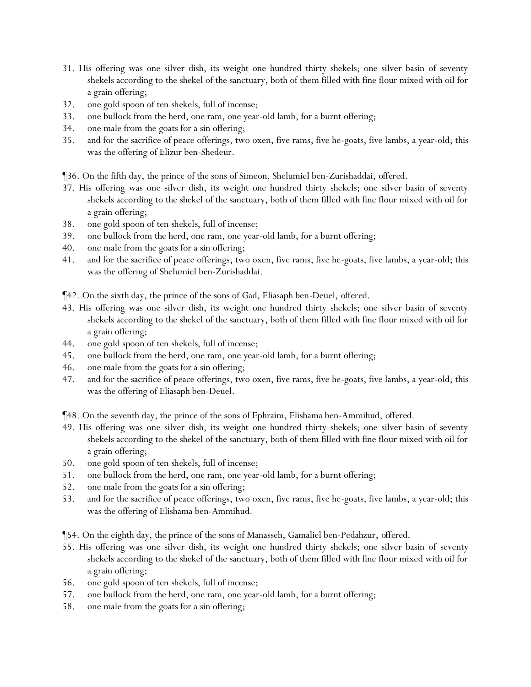- 31. His offering was one silver dish, its weight one hundred thirty shekels; one silver basin of seventy shekels according to the shekel of the sanctuary, both of them filled with fine flour mixed with oil for a grain offering;
- 32. one gold spoon of ten *shekels*, full of incense;
- 33. one bullock from the herd, one ram, one year-old lamb, for a burnt offering;
- 34. one male from the goats for a sin offering;
- 35. and for the sacrifice of peace offerings, two oxen, five rams, five he-goats, five lambs, a year-old; this was the offering of Elizur ben-Shedeur.

¶36. On the fifth day, the prince of the sons of Simeon, Shelumiel ben-Zurishaddai, *offered*.

- 37. His offering was one silver dish, its weight one hundred thirty shekels; one silver basin of seventy shekels according to the shekel of the sanctuary, both of them filled with fine flour mixed with oil for a grain offering;
- 38. one gold spoon of ten *shekels*, full of incense;
- 39. one bullock from the herd, one ram, one year-old lamb, for a burnt offering;
- 40. one male from the goats for a sin offering;
- 41. and for the sacrifice of peace offerings, two oxen, five rams, five he-goats, five lambs, a year-old; this was the offering of Shelumiel ben-Zurishaddai.

¶42. On the sixth day, the prince of the sons of Gad, Eliasaph ben-Deuel, *offered*.

- 43. His offering was one silver dish, its weight one hundred thirty shekels; one silver basin of seventy shekels according to the shekel of the sanctuary, both of them filled with fine flour mixed with oil for a grain offering;
- 44. one gold spoon of ten *shekels*, full of incense;
- 45. one bullock from the herd, one ram, one year-old lamb, for a burnt offering;
- 46. one male from the goats for a sin offering;
- 47. and for the sacrifice of peace offerings, two oxen, five rams, five he-goats, five lambs, a year-old; this was the offering of Eliasaph ben-Deuel.

¶48. On the seventh day, the prince of the sons of Ephraim, Elishama ben-Ammihud, *offered*.

- 49. His offering was one silver dish, its weight one hundred thirty shekels; one silver basin of seventy shekels according to the shekel of the sanctuary, both of them filled with fine flour mixed with oil for a grain offering;
- 50. one gold spoon of ten *shekels*, full of incense;
- 51. one bullock from the herd, one ram, one year-old lamb, for a burnt offering;
- 52. one male from the goats for a sin offering;
- 53. and for the sacrifice of peace offerings, two oxen, five rams, five he-goats, five lambs, a year-old; this was the offering of Elishama ben-Ammihud.

¶54. On the eighth day, the prince of the sons of Manasseh, Gamaliel ben-Pedahzur, *offered*.

- 55. His offering was one silver dish, its weight one hundred thirty shekels; one silver basin of seventy shekels according to the shekel of the sanctuary, both of them filled with fine flour mixed with oil for a grain offering;
- 56. one gold spoon of ten *shekels*, full of incense;
- 57. one bullock from the herd, one ram, one year-old lamb, for a burnt offering;
- 58. one male from the goats for a sin offering;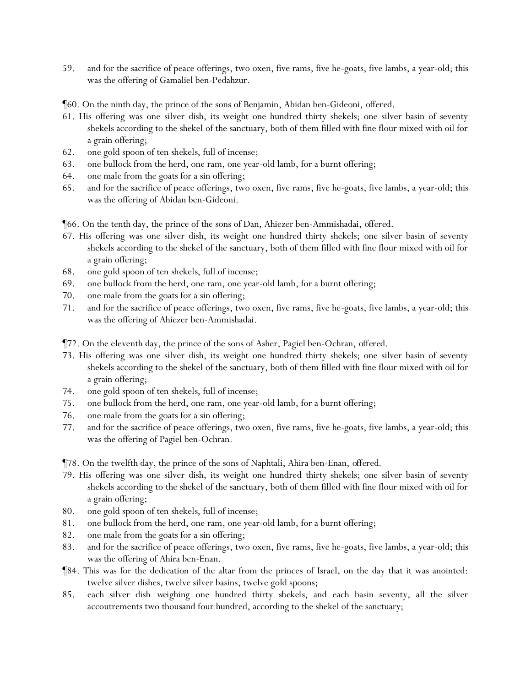59. and for the sacrifice of peace offerings, two oxen, five rams, five he-goats, five lambs, a year-old; this was the offering of Gamaliel ben-Pedahzur.

¶60. On the ninth day, the prince of the sons of Benjamin, Abidan ben-Gideoni, *offered*.

- 61. His offering was one silver dish, its weight one hundred thirty shekels; one silver basin of seventy shekels according to the shekel of the sanctuary, both of them filled with fine flour mixed with oil for a grain offering;
- 62. one gold spoon of ten *shekels*, full of incense;
- 63. one bullock from the herd, one ram, one year-old lamb, for a burnt offering;
- 64. one male from the goats for a sin offering;
- 65. and for the sacrifice of peace offerings, two oxen, five rams, five he-goats, five lambs, a year-old; this was the offering of Abidan ben-Gideoni.

¶66. On the tenth day, the prince of the sons of Dan, Ahiezer ben-Ammishadai, *offered*.

- 67. His offering was one silver dish, its weight one hundred thirty shekels; one silver basin of seventy shekels according to the shekel of the sanctuary, both of them filled with fine flour mixed with oil for a grain offering;
- 68. one gold spoon of ten *shekels*, full of incense;
- 69. one bullock from the herd, one ram, one year-old lamb, for a burnt offering;
- 70. one male from the goats for a sin offering;
- 71. and for the sacrifice of peace offerings, two oxen, five rams, five he-goats, five lambs, a year-old; this was the offering of Ahiezer ben-Ammishadai.

¶72. On the eleventh day, the prince of the sons of Asher, Pagiel ben-Ochran, *offered*.

- 73. His offering was one silver dish, its weight one hundred thirty shekels; one silver basin of seventy shekels according to the shekel of the sanctuary, both of them filled with fine flour mixed with oil for a grain offering;
- 74. one gold spoon of ten *shekels*, full of incense;
- 75. one bullock from the herd, one ram, one year-old lamb, for a burnt offering;
- 76. one male from the goats for a sin offering;
- 77. and for the sacrifice of peace offerings, two oxen, five rams, five he-goats, five lambs, a year-old; this was the offering of Pagiel ben-Ochran.

¶78. On the twelfth day, the prince of the sons of Naphtali, Ahira ben-Enan, *offered*.

- 79. His offering was one silver dish, its weight one hundred thirty shekels; one silver basin of seventy shekels according to the shekel of the sanctuary, both of them filled with fine flour mixed with oil for a grain offering;
- 80. one gold spoon of ten *shekels*, full of incense;
- 81. one bullock from the herd, one ram, one year-old lamb, for a burnt offering;
- 82. one male from the goats for a sin offering;
- 83. and for the sacrifice of peace offerings, two oxen, five rams, five he-goats, five lambs, a year-old; this was the offering of Ahira ben-Enan.
- ¶84. This was for the dedication of the altar from the princes of Israel, on the day that it was anointed: twelve silver dishes, twelve silver basins, twelve gold spoons;
- 85. each silver dish *weighing* one hundred thirty *shekels*, and each basin seventy, all the silver accoutrements two thousand four hundred, according to the shekel of the sanctuary;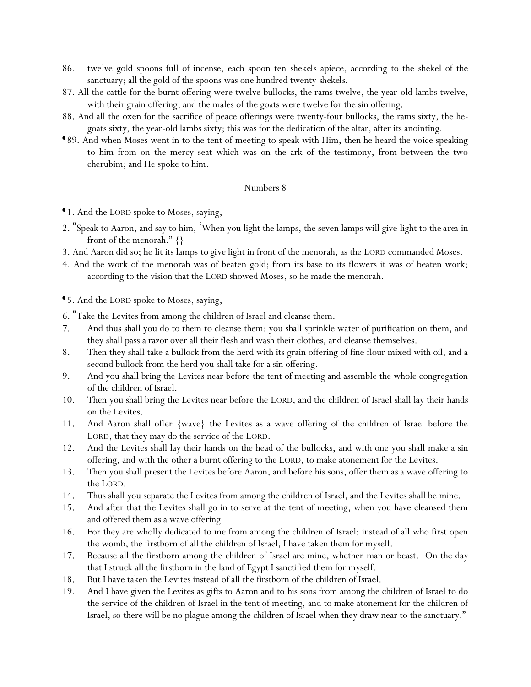- 86. twelve gold spoons full of incense, each spoon ten *shekels* apiece, according to the shekel of the sanctuary; all the gold of the spoons was one hundred twenty *shekels*.
- 87. All the cattle for the burnt offering were twelve bullocks, the rams twelve, the year-old lambs twelve, with their grain offering; and the males of the goats were twelve for the sin offering.
- 88. And all the oxen for the sacrifice of peace offerings were twenty-four bullocks, the rams sixty, the hegoats sixty, the year-old lambs sixty; this was for the dedication of the altar, after its anointing.
- ¶89. And when Moses went in to the tent of meeting to speak with Him, then he heard the voice speaking to him from on the mercy seat which was on the ark of the testimony, from between the two cherubim; and He spoke to him.

¶1. And the LORD spoke to Moses, saying,

- 2. "Speak to Aaron, and say to him, 'When you light the lamps, the seven lamps will give light to *the area* in front of the menorah."  $\{\}$
- 3. And Aaron did so; he lit its lamps *to give* light in front of the menorah, as the LORD commanded Moses.
- 4. And the work of the menorah was of beaten gold; from its base to its flowers it was of beaten work; according to the vision that the LORD showed Moses, so he made the menorah.

¶5. And the LORD spoke to Moses, saying,

- 6. "Take the Levites from among the children of Israel and cleanse them.
- 7. And thus shall you do to them to cleanse them: you shall sprinkle water of purification on them, and they shall pass a razor over all their flesh and wash their clothes, and cleanse themselves.
- 8. Then they shall take a bullock from the herd with its grain offering of fine flour mixed with oil, and a second bullock from the herd you shall take for a sin offering.
- 9. And you shall bring the Levites near before the tent of meeting and assemble the whole congregation of the children of Israel.
- 10. Then you shall bring the Levites near before the LORD, and the children of Israel shall lay their hands on the Levites.
- 11. And Aaron shall offer {wave} the Levites as a wave offering of the children of Israel before the LORD, that they may do the service of the LORD.
- 12. And the Levites shall lay their hands on the head of the bullocks, and with one you shall make a sin offering, and with the other a burnt offering to the LORD, to make atonement for the Levites.
- 13. Then you shall present the Levites before Aaron, and before his sons, offer them as a wave offering to the LORD.
- 14. Thus shall you separate the Levites from among the children of Israel, and the Levites shall be mine.
- 15. And after that the Levites shall go in to serve at the tent of meeting, when you have cleansed them and offered them as a wave offering.
- 16. For they are wholly dedicated to me from among the children of Israel; instead of all who first open the womb, the firstborn of all the children of Israel, I have taken them for myself.
- 17. Because all the firstborn among the children of Israel are mine, whether man or beast. On the day that I struck all the firstborn in the land of Egypt I sanctified them for myself.
- 18. But I have taken the Levites instead of all the firstborn of the children of Israel.
- 19. And I have given the Levites as gifts to Aaron and to his sons from among the children of Israel to do the service of the children of Israel in the tent of meeting, and to make atonement for the children of Israel, so there will be no plague among the children of Israel when they draw near to the sanctuary."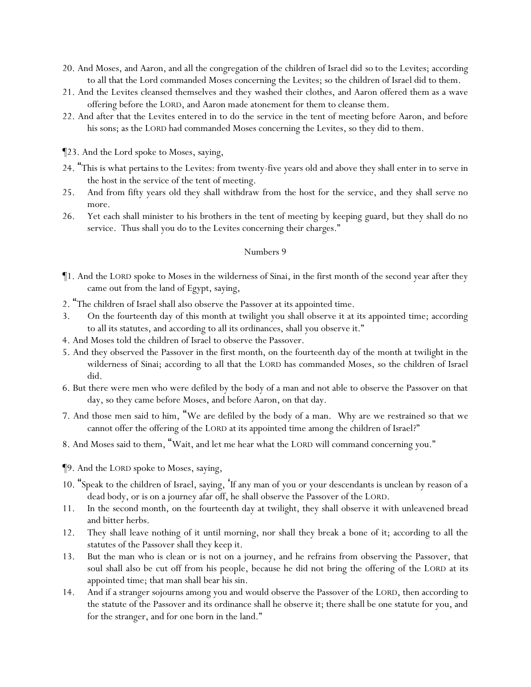- 20. And Moses, and Aaron, and all the congregation of the children of Israel did *so* to the Levites; according to all that the Lord commanded Moses concerning the Levites; so the children of Israel did to them.
- 21. And the Levites cleansed themselves and they washed their clothes, and Aaron offered them as a wave offering before the LORD, and Aaron made atonement for them to cleanse them.
- 22. And after that the Levites entered in to do the service in the tent of meeting before Aaron, and before his sons; as the LORD had commanded Moses concerning the Levites, so they did to them.
- ¶23. And the Lord spoke to Moses, saying,
- 24. "This is what *pertains* to the Levites: from twenty-five years old and above they shall enter in to serve in the host in the service of the tent of meeting.
- 25. And from fifty years old they shall withdraw from the host for the service, and they shall serve no more.
- 26. Yet each shall minister to his brothers in the tent of meeting by keeping guard, but they shall do no service. Thus shall you do to the Levites concerning their charges."

- ¶1. And the LORD spoke to Moses in the wilderness of Sinai, in the first month of the second year after they came out from the land of Egypt, saying,
- 2. "The children of Israel shall also observe the Passover at its appointed time.
- 3. On the fourteenth day of this month at twilight you shall observe it at its appointed time; according to all its statutes, and according to all its ordinances, shall you observe it."
- 4. And Moses told the children of Israel to observe the Passover.
- 5. And they observed the Passover in the first month, on the fourteenth day of the month at twilight in the wilderness of Sinai; according to all that the LORD has commanded Moses, so the children of Israel did.
- 6. But there were men who were defiled by the body of a man and not able to observe the Passover on that day, so they came before Moses, and before Aaron, on that day.
- 7. And those men said to him, "We are defiled by the body of a man. Why are we restrained so that we cannot offer the offering of the LORD at its appointed time among the children of Israel?"
- 8. And Moses said to them, "Wait, and let me hear what the LORD will command concerning you."
- ¶9. And the LORD spoke to Moses, saying,
- 10. "Speak to the children of Israel, saying, 'If any man of you or your descendants is unclean by reason of a dead body, or is on a journey afar off, he shall observe the Passover of the LORD.
- 11. In the second month, on the fourteenth day at twilight, they shall observe it with unleavened bread and bitter herbs.
- 12. They shall leave nothing of it until morning, nor shall they break a bone of it; according to all the statutes of the Passover shall they keep it.
- 13. But the man who is clean or is not on a journey, and he refrains from observing the Passover, that soul shall also be cut off from his people, because he did not bring the offering of the LORD at its appointed time; that man shall bear his sin.
- 14. And if a stranger sojourns among you and would observe the Passover of the LORD, then according to the statute of the Passover and its ordinance shall he observe it; there shall be one statute for you, and for the stranger, and for one born in the land."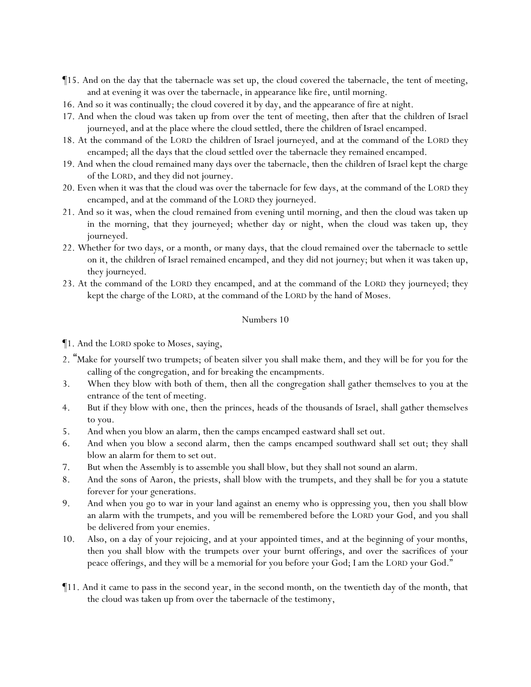- ¶15. And on the day that the tabernacle was set up, the cloud covered the tabernacle, the tent of meeting, and at evening it was over the tabernacle, in appearance like fire, until morning.
- 16. And so it was continually; the cloud covered it by day, and the appearance of fire at night.
- 17. And when the cloud was taken up from over the tent of meeting, then after that the children of Israel journeyed, and at the place where the cloud settled, there the children of Israel encamped.
- 18. At the command of the LORD the children of Israel journeyed, and at the command of the LORD they encamped; all the days that the cloud settled over the tabernacle they remained encamped.
- 19. And when the cloud remained many days over the tabernacle, then the children of Israel kept the charge of the LORD, and they did not journey.
- 20. Even when it was that the cloud was over the tabernacle for few days, at the command of the LORD they encamped, and at the command of the LORD they journeyed.
- 21. And so it was, when the cloud remained from evening until morning, and then the cloud was taken up in the morning, that they journeyed; whether day or night, when the cloud was taken up, they journeyed.
- 22. Whether for two days, or a month, or many days, that the cloud remained over the tabernacle to settle on it, the children of Israel remained encamped, and they did not journey; but when it was taken up, they journeyed.
- 23. At the command of the LORD they encamped, and at the command of the LORD they journeyed; they kept the charge of the LORD, at the command of the LORD by the hand of Moses.

- ¶1. And the LORD spoke to Moses, saying,
- 2. "Make for yourself two trumpets; of beaten silver you shall make them, and they will be for you for the calling of the congregation, and for breaking the encampments.
- 3. When they blow with both of them, then all the congregation shall gather themselves to you at the entrance of the tent of meeting.
- 4. But if they blow with one, then the princes, heads of the thousands of Israel, shall gather themselves to you.
- 5. And when you blow an alarm, then the camps encamped eastward shall set out.
- 6. And when you blow a second alarm, then the camps encamped southward shall set out; they shall blow an alarm for them to set out.
- 7. But when the Assembly is to assemble you shall blow, but they shall not sound an alarm.
- 8. And the sons of Aaron, the priests, shall blow with the trumpets, and they shall be for you a statute forever for your generations.
- 9. And when you go to war in your land against an enemy who is oppressing you, then you shall blow an alarm with the trumpets, and you will be remembered before the LORD your God, and you shall be delivered from your enemies.
- 10. Also, on a day of your rejoicing, and at your appointed times, and at the beginning of your months, then you shall blow with the trumpets over your burnt offerings, and over the sacrifices of your peace offerings, and they will be a memorial for you before your God; I am the LORD your God."
- ¶11. And it came to pass in the second year, in the second month, on the twentieth day of the month, that the cloud was taken up from over the tabernacle of the testimony,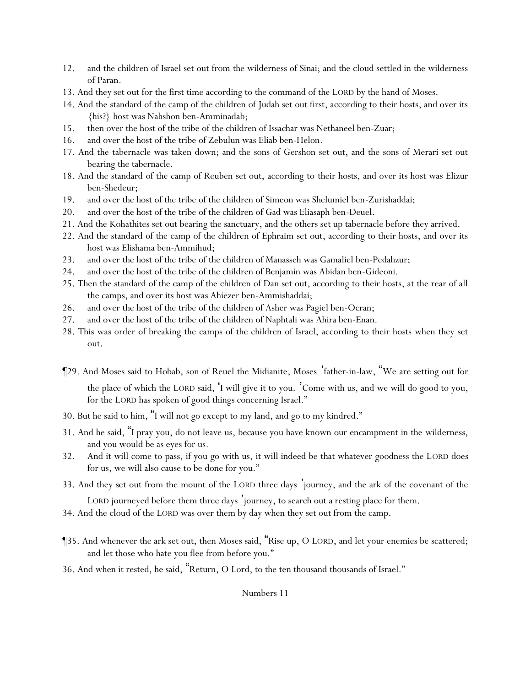- 12. and the children of Israel set out from the wilderness of Sinai; and the cloud settled in the wilderness of Paran.
- 13. And they set out for the first time according to the command of the LORD by the hand of Moses.
- 14. And the standard of the camp of the children of Judah set out first, according to their hosts, and over its {his?} host was Nahshon ben-Amminadab;
- 15. then over the host of the tribe of the children of Issachar was Nethaneel ben-Zuar;
- 16. and over the host of the tribe of Zebulun was Eliab ben-Helon.
- 17. And the tabernacle was taken down; and the sons of Gershon set out, and the sons of Merari set out bearing the tabernacle.
- 18. And the standard of the camp of Reuben set out, according to their hosts, and over its host was Elizur ben-Shedeur;
- 19. and over the host of the tribe of the children of Simeon was Shelumiel ben-Zurishaddai;
- 20. and over the host of the tribe of the children of Gad was Eliasaph ben-Deuel.
- 21. And the Kohathites set out bearing the sanctuary, and the others set up tabernacle before they arrived.
- 22. And the standard of the camp of the children of Ephraim set out, according to their hosts, and over its host was Elishama ben-Ammihud;
- 23. and over the host of the tribe of the children of Manasseh was Gamaliel ben-Pedahzur;
- 24. and over the host of the tribe of the children of Benjamin was Abidan ben-Gideoni.
- 25. Then the standard of the camp of the children of Dan set out, according to their hosts, at the rear of all the camps, and over its host was Ahiezer ben-Ammishaddai;
- 26. and over the host of the tribe of the children of Asher was Pagiel ben-Ocran;
- 27. and over the host of the tribe of the children of Naphtali was Ahira ben-Enan.
- 28. This was order of breaking the camps of the children of Israel, according to their hosts when they set out.
- ¶29. And Moses said to Hobab, son of Reuel the Midianite, Moses 'father-in-law, "We are setting out for the place of which the LORD said, 'I will give it to you. 'Come with us, and we will do good to you, for the LORD has spoken of good things concerning Israel."
- 30. But he said to him, "I will not go except to my land, and go to my kindred."
- 31. And he said, "I pray you, do not leave us, because you have known our encampment in the wilderness, and you would be as eyes for us.
- 32. And it will come to pass, if you go with us, it will indeed be that whatever goodness the LORD does for us, we will also cause to be done for you."
- 33. And they set out from the mount of the LORD three days 'journey, and the ark of the covenant of the

LORD journeyed before them three days 'journey, to search out a resting place for them.

- 34. And the cloud of the LORD was over them by day when they set out from the camp.
- ¶35. And whenever the ark set out, then Moses said, "Rise up, O LORD, and let your enemies be scattered; and let those who hate you flee from before you."
- 36. And when it rested, he said, "Return, O Lord, to the ten thousand thousands of Israel."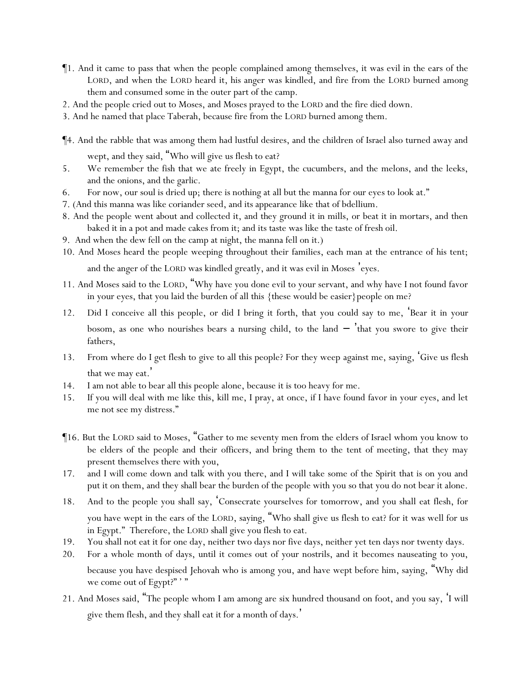- ¶1. And it came to pass that when the people complained among themselves, it was evil in the ears of the LORD, and when the LORD heard it, his anger was kindled, and fire from the LORD burned among them and consumed some in the outer part of the camp.
- 2. And the people cried out to Moses, and Moses prayed to the LORD and the fire died down.
- 3. And he named that place Taberah, because fire from the LORD burned among them.

¶4. And the rabble that was among them had lustful desires, and the children of Israel also turned away and

wept, and they said, "Who will give us flesh to eat?

- 5. We remember the fish that we ate freely in Egypt, the cucumbers, and the melons, and the leeks, and the onions, and the garlic.
- 6. For now, our soul is dried up; there is nothing at all but the manna for our eyes to look at."
- 7. (And this manna was like coriander seed, and its appearance like that of bdellium.
- 8. And the people went about and collected it, and they ground it in mills, or beat it in mortars, and then baked it in a pot and made cakes from it; and its taste was like the taste of fresh oil.
- 9. And when the dew fell on the camp at night, the manna fell on it.)
- 10. And Moses heard the people weeping throughout their families, each man at the entrance of his tent;

and the anger of the LORD was kindled greatly, and it was evil in Moses 'eyes.

- 11. And Moses said to the LORD, "Why have you done evil to your servant, and why have I not found favor in your eyes, that you laid the burden of all this {these would be easier}people on me?
- 12. Did I conceive all this people, or did I bring it forth, that you could say to me, 'Bear it in your bosom, as one who nourishes bears a nursing child, to the land  $-$  that you swore to give their fathers,
- 13. From where do I get flesh to give to all this people? For they weep against me, saying, 'Give us flesh that we may eat. '
- 14. I am not able to bear all this people alone, because it is too heavy for me.
- 15. If you will deal with me like this, kill me, I pray, at once, if I have found favor in your eyes, and let me not see my distress."
- ¶16. But the LORD said to Moses, "Gather to me seventy men from the elders of Israel whom you know to be elders of the people and their officers, and bring them to the tent of meeting, that they may present themselves there with you,
- 17. and I will come down and talk with you there, and I will take some of the Spirit that is on you and put it on them, and they shall bear the burden of the people with you so that you do not bear it alone.
- 18. And to the people you shall say, 'Consecrate yourselves for tomorrow, and you shall eat flesh, for you have wept in the ears of the LORD, saying, "Who shall give us flesh to eat? for it was well for us in Egypt." Therefore, the LORD shall give you flesh to eat.
- 19. You shall not eat it for one day, neither two days nor five days, neither yet ten days nor twenty days.
- 20. For a whole month of days, until it comes out of your nostrils, and it becomes nauseating to you, because you have despised Jehovah who is among you, and have wept before him, saying, "Why did we come out of Egypt?""
- 21. And Moses said, "The people whom I am among are six hundred thousand on foot, and you say, 'I will give them flesh, and they shall eat it for a month of days.'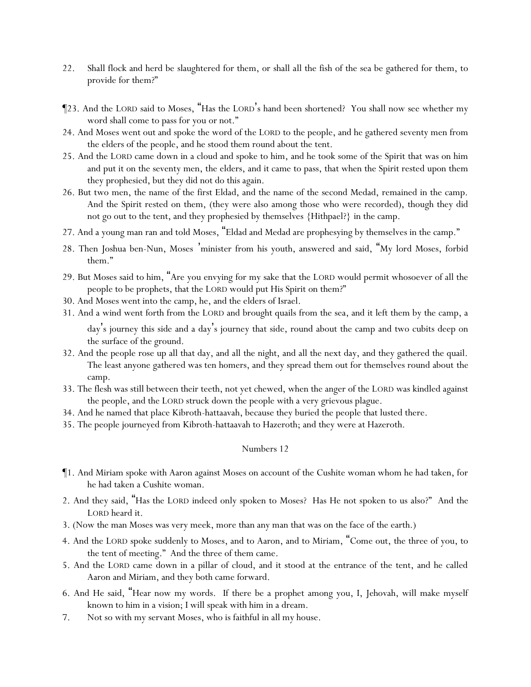- 22. Shall flock and herd be slaughtered for them, or shall all the fish of the sea be gathered for them, to provide for them?"
- ¶23. And the LORD said to Moses, "Has the LORD's hand been shortened? You shall now see whether my word shall come to pass for you or not."
- 24. And Moses went out and spoke the word of the LORD to the people, and he gathered seventy men from the elders of the people, and he stood them round about the tent.
- 25. And the LORD came down in a cloud and spoke to him, and he took some of the Spirit that was on him and put it on the seventy men, the elders, and it came to pass, that when the Spirit rested upon them they prophesied, but they did not do this again.
- 26. But two men, the name of the first Eldad, and the name of the second Medad, remained in the camp. And the Spirit rested on them, (they were also among those who were recorded), though they did not go out to the tent, and they prophesied by themselves {Hithpael?} in the camp.
- 27. And a young man ran and told Moses, "Eldad and Medad are prophesying by themselves in the camp."
- 28. Then Joshua ben-Nun, Moses 'minister from his youth, answered and said, "My lord Moses, forbid them."
- 29. But Moses said to him, "Are you envying for my sake that the LORD would permit whosoever of all the people to be prophets, that the LORD would put His Spirit on them?"
- 30. And Moses went into the camp, he, and the elders of Israel.
- 31. And a wind went forth from the LORD and brought quails from the sea, and it left them by the camp, a day's journey this side and a day's journey that side, round about the camp and two cubits deep on

the surface of the ground.

- 32. And the people rose up all that day, and all the night, and all the next day, and they gathered the quail. The least anyone gathered was ten homers, and they spread them out for themselves round about the camp.
- 33. The flesh was still between their teeth, not yet chewed, when the anger of the LORD was kindled against the people, and the LORD struck down the people with a very grievous plague.
- 34. And he named that place Kibroth-hattaavah, because they buried the people that lusted there.
- 35. The people journeyed from Kibroth-hattaavah to Hazeroth; and they were at Hazeroth.

- ¶1. And Miriam spoke with Aaron against Moses on account of the Cushite woman whom he had taken, for he had taken a Cushite woman.
- 2. And they said, "Has the LORD indeed only spoken to Moses? Has He not spoken to us also?" And the LORD heard it.
- 3. (Now the man Moses was very meek, more than any man that was on the face of the earth.)
- 4. And the LORD spoke suddenly to Moses, and to Aaron, and to Miriam, "Come out, the three of you, to the tent of meeting." And the three of them came.
- 5. And the LORD came down in a pillar of cloud, and it stood at the entrance of the tent, and he called Aaron and Miriam, and they both came forward.
- 6. And He said, "Hear now my words. If there be a prophet among you, I, Jehovah, will make myself known to him in a vision; I will speak with him in a dream.
- 7. Not so with my servant Moses, who is faithful in all my house.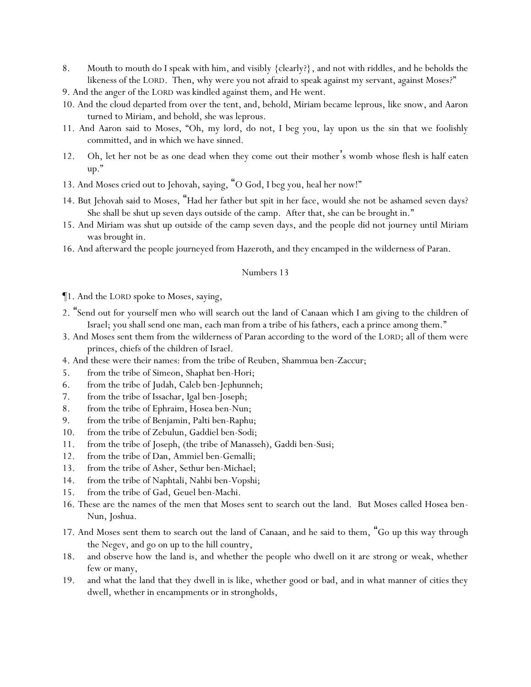- 8. Mouth to mouth do I speak with him, and visibly {clearly?}, and not with riddles, and he beholds the likeness of the LORD. Then, why were you not afraid to speak against my servant, against Moses?"
- 9. And the anger of the LORD was kindled against them, and He went.
- 10. And the cloud departed from over the tent, and, behold, Miriam became leprous, like snow, and Aaron turned to Miriam, and behold, she was leprous.
- 11. And Aaron said to Moses, "Oh, my lord, do not, I beg you, lay upon us the sin that we foolishly committed, and in which we have sinned.
- 12. Oh, let her not be as one dead when they come out their mother's womb whose flesh is half eaten up."
- 13. And Moses cried out to Jehovah, saying, "O God, I beg you, heal her now!"
- 14. But Jehovah said to Moses, "Had her father but spit in her face, would she not be ashamed seven days? She shall be shut up seven days outside of the camp. After that, she can be brought in."
- 15. And Miriam was shut up outside of the camp seven days, and the people did not journey until Miriam was brought in.
- 16. And afterward the people journeyed from Hazeroth, and they encamped in the wilderness of Paran.

- ¶1. And the LORD spoke to Moses, saying,
- 2. "Send out for yourself men who will search out the land of Canaan which I am giving to the children of Israel; you shall send one man, each man from a tribe of his fathers, each a prince among them."
- 3. And Moses sent them from the wilderness of Paran according to the word of the LORD; all of them were princes, chiefs of the children of Israel.
- 4. And these were their names: from the tribe of Reuben, Shammua ben-Zaccur;
- 5. from the tribe of Simeon, Shaphat ben-Hori;
- 6. from the tribe of Judah, Caleb ben-Jephunneh;
- 7. from the tribe of Issachar, Igal ben-Joseph;
- 8. from the tribe of Ephraim, Hosea ben-Nun;
- 9. from the tribe of Benjamin, Palti ben-Raphu;
- 10. from the tribe of Zebulun, Gaddiel ben-Sodi;
- 11. from the tribe of Joseph, (the tribe of Manasseh), Gaddi ben-Susi;
- 12. from the tribe of Dan, Ammiel ben-Gemalli;
- 13. from the tribe of Asher, Sethur ben-Michael;
- 14. from the tribe of Naphtali, Nahbi ben-Vopshi;
- 15. from the tribe of Gad, Geuel ben-Machi.
- 16. These are the names of the men that Moses sent to search out the land. But Moses called Hosea ben-Nun, Joshua.
- 17. And Moses sent them to search out the land of Canaan, and he said to them, "Go up this way through the Negev, and go on up to the hill country,
- 18. and observe how the land is, and whether the people who dwell on it are strong or weak, whether few or many,
- 19. and what the land that they dwell in is like, whether good or bad, and in what manner of cities they dwell, whether in encampments or in strongholds,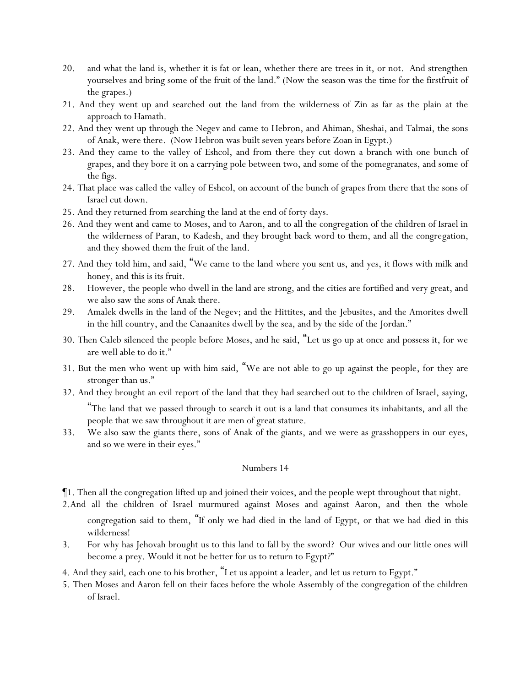- 20. and what the land is, whether it is fat or lean, whether there are trees in it, or not. And strengthen yourselves and bring some of the fruit of the land." (Now the season was the time for the firstfruit of the grapes.)
- 21. And they went up and searched out the land from the wilderness of Zin as far as the plain at the approach to Hamath.
- 22. And they went up through the Negev and came to Hebron, and Ahiman, Sheshai, and Talmai, the sons of Anak, were there. (Now Hebron was built seven years before Zoan in Egypt.)
- 23. And they came to the valley of Eshcol, and from there they cut down a branch with one bunch of grapes, and they bore it on a carrying pole between two, and some of the pomegranates, and some of the figs.
- 24. That place was called the valley of Eshcol, on account of the bunch of grapes from there that the sons of Israel cut down.
- 25. And they returned from searching the land at the end of forty days.
- 26. And they went and came to Moses, and to Aaron, and to all the congregation of the children of Israel in the wilderness of Paran, to Kadesh, and they brought back word to them, and all the congregation, and they showed them the fruit of the land.
- 27. And they told him, and said, "We came to the land where you sent us, and yes, it flows with milk and honey, and this is its fruit.
- 28. However, the people who dwell in the land are strong, and the cities are fortified and very great, and we also saw the sons of Anak there.
- 29. Amalek dwells in the land of the Negev; and the Hittites, and the Jebusites, and the Amorites dwell in the hill country, and the Canaanites dwell by the sea, and by the side of the Jordan."
- 30. Then Caleb silenced the people before Moses, and he said, "Let us go up at once and possess it, for we are well able to do it."
- 31. But the men who went up with him said, "We are not able to go up against the people, for they are stronger than us."
- 32. And they brought an evil report of the land that they had searched out to the children of Israel, saying, "The land that we passed through to search it out is a land that consumes its inhabitants, and all the people that we saw throughout it are men of great stature.
- 33. We also saw the giants there, sons of Anak of the giants, and we were as grasshoppers in our eyes, and so we were in their eyes."

¶1. Then all the congregation lifted up and joined their voices, and the people wept throughout that night.

2.And all the children of Israel murmured against Moses and against Aaron, and then the whole congregation said to them, "If only we had died in the land of Egypt, or that we had died in this wilderness!

- 3. For why has Jehovah brought us to this land to fall by the sword? Our wives and our little ones will become a prey. Would it not be better for us to return to Egypt?"
- 4. And they said, each one to his brother, "Let us appoint a leader, and let us return to Egypt."
- 5. Then Moses and Aaron fell on their faces before the whole Assembly of the congregation of the children of Israel.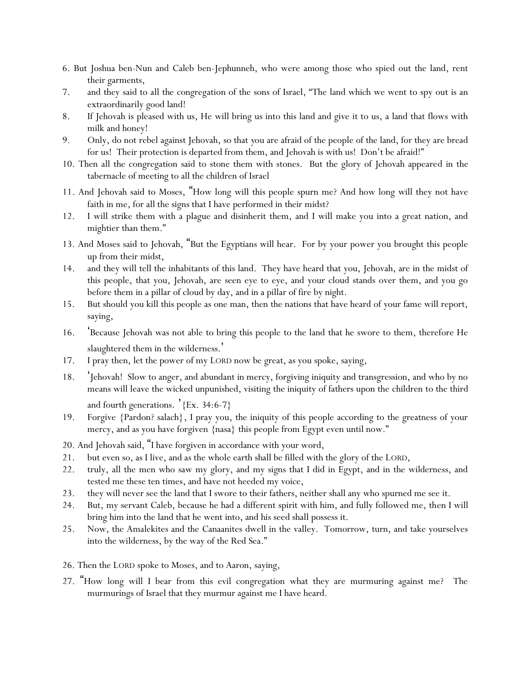- 6. But Joshua ben-Nun and Caleb ben-Jephunneh, who were among those who spied out the land, rent their garments,
- 7. and they said to all the congregation of the sons of Israel, "The land which we went to spy out is an extraordinarily good land!
- 8. If Jehovah is pleased with us, He will bring us into this land and give it to us, a land that flows with milk and honey!
- 9. Only, do not rebel against Jehovah, so that *y*ou are afraid of the people of the land, for they are bread for us! Their protection is departed from them, and Jehovah is with us! Don't be afraid!"
- 10. Then all the congregation said to stone them with stones. But the glory of Jehovah appeared in the tabernacle of meeting to all the children of Israel
- 11. And Jehovah said to Moses, "How long will this people spurn me? And how long will they not have faith in me, for all the signs that I have performed in their midst?
- 12. I will strike them with a plague and disinherit them, and I will make you into a great nation, and mightier than them."
- 13. And Moses said to Jehovah, "But the Egyptians will hear. For by your power you brought this people up from their midst,
- 14. and they will tell the inhabitants of this land. They have heard that you, Jehovah, are in the midst of this people, that you, Jehovah, are seen eye to eye, and your cloud stands over them, and you go before them in a pillar of cloud by day, and in a pillar of fire by night.
- 15. But should you kill this people as one man, then the nations that have heard of your fame will report, saying,
- 16. 'Because Jehovah was not able to bring this people to the land that he swore to them, therefore He slaughtered them in the wilderness.'
- 17. I pray then, let the power of my LORD now be great, as you spoke, saying,
- 18. 'Jehovah! Slow to anger, and abundant in mercy, forgiving iniquity and transgression, and who by no means will leave the wicked unpunished, visiting the iniquity of fathers upon the children to the third and fourth generations. '{Ex. 34:6-7}
- 19. Forgive {Pardon? salach}, I pray you, the iniquity of this people according to the greatness of your mercy, and as you have forgiven {nasa} this people from Egypt even until now."
- 20. And Jehovah said, "I have forgiven in accordance with your word,
- 21. but even so, as I live, and as the whole earth shall be filled with the glory of the LORD,
- 22. truly, all the men who saw my glory, and my signs that I did in Egypt, and in the wilderness, and tested me these ten times, and have not heeded my voice,
- 23. they will never see the land that I swore to their fathers, neither shall any who spurned me see it.
- 24. But, my servant Caleb, because he had a different spirit with him, and fully followed me, then I will bring him into the land that he went into, and his seed shall possess it.
- 25. Now, the Amalekites and the Canaanites dwell in the valley. Tomorrow, turn, and take yourselves into the wilderness, by the way of the Red Sea."
- 26. Then the LORD spoke to Moses, and to Aaron, saying,
- 27. "How long will I bear from this evil congregation what they are murmuring against me? The murmurings of Israel that they murmur against me I have heard.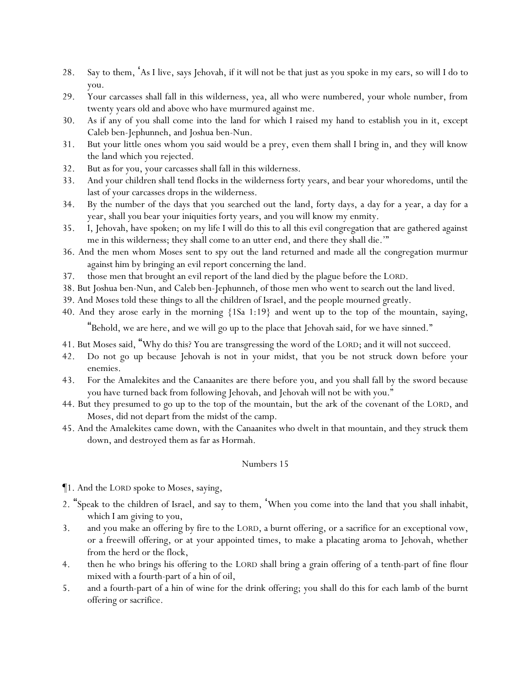- 28. Say to them, 'As I live, says Jehovah, if it will not be that just as you spoke in my ears, so will I do to you.
- 29. Your carcasses shall fall in this wilderness, yea, all who were numbered, your whole number, from twenty years old and above who have murmured against me.
- 30. As if any of you shall come into the land for which I raised my hand to establish you in it, except Caleb ben-Jephunneh, and Joshua ben-Nun.
- 31. But your little ones whom you said would be a prey, even them shall I bring in, and they will know the land which you rejected.
- 32. But as for you, your carcasses shall fall in this wilderness.
- 33. And your children shall tend flocks in the wilderness forty years, and bear your whoredoms, until the last of your carcasses drops in the wilderness.
- 34. By the number of the days that you searched out the land, forty days, a day for a year, a day for a year, shall you bear your iniquities forty years, and you will know my enmity.
- 35. I, Jehovah, have spoken; on my life I will do this to all this evil congregation that are gathered against me in this wilderness; they shall come to an utter end, and there they shall die.'"
- 36. And the men whom Moses sent to spy out the land returned and made all the congregation murmur against him by bringing an evil report concerning the land.
- 37. those men that brought an evil report of the land died by the plague before the LORD.
- 38. But Joshua ben-Nun, and Caleb ben-Jephunneh, of those men who went to search out the land lived.
- 39. And Moses told these things to all the children of Israel, and the people mourned greatly.
- 40. And they arose early in the morning {1Sa 1:19} and went up to the top of the mountain, saying,

"Behold, we are here, and we will go up to the place that Jehovah said, for we have sinned."

- 41. But Moses said, "Why do this? You are transgressing the word of the LORD; and it will not succeed.
- 42. Do not go up because Jehovah is not in your midst, that you be not struck down before your enemies.
- 43. For the Amalekites and the Canaanites are there before you, and you shall fall by the sword because you have turned back from following Jehovah, and Jehovah will not be with you."
- 44. But they presumed to go up to the top of the mountain, but the ark of the covenant of the LORD, and Moses, did not depart from the midst of the camp.
- 45. And the Amalekites came down, with the Canaanites who dwelt in that mountain, and they struck them down, and destroyed them as far as Hormah.

#### Numbers 15

¶1. And the LORD spoke to Moses, saying,

- 2. "Speak to the children of Israel, and say to them, 'When you come into the land that you shall inhabit, which I am giving to you,
- 3. and you make an offering by fire to the LORD, a burnt offering, or a sacrifice for an exceptional vow, or a freewill offering, or at your appointed times, to make a placating aroma to Jehovah, whether from the herd or the flock,
- 4. then he who brings his offering to the LORD shall bring a grain offering of a tenth-part of fine flour mixed with a fourth-part of a hin of oil,
- 5. and a fourth-part of a hin of wine for the drink offering; you shall do this for each lamb of the burnt offering or sacrifice.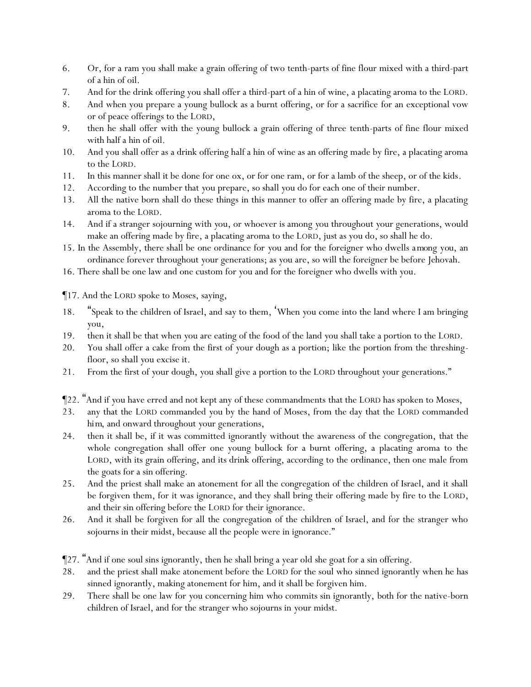- 6. Or, for a ram you shall make a grain offering of two tenth-parts of fine flour mixed with a third-part of a hin of oil.
- 7. And for the drink offering you shall offer a third-part of a hin of wine, a placating aroma to the LORD.
- 8. And when you prepare a young bullock as a burnt offering, or for a sacrifice for an exceptional vow or of peace offerings to the LORD,
- 9. then he shall offer with the young bullock a grain offering of three tenth-parts of fine flour mixed with half a hin of oil.
- 10. And you shall offer as a drink offering half a hin of wine as an offering made by fire, a placating aroma to the LORD.
- 11. In this manner shall it be done for one ox, or for one ram, or for a lamb of the sheep, or of the kids.
- 12. According to the number that *y*ou prepare, so shall *y*ou do for each one of their number.
- 13. All the native born shall do these things in this manner to offer an offering made by fire, a placating aroma to the LORD.
- 14. And if a stranger sojourning with *y*ou, or whoever is among *y*ou throughout *y*our generations, would make an offering made by fire, a placating aroma to the LORD, just as you do, so shall he do.
- 15. In the Assembly, there shall be one ordinance for *y*ou and for the foreigner who dwells *among you*, an ordinance forever throughout *y*our generations; as *y*ou are, so will the foreigner be before Jehovah.
- 16. There shall be one law and one custom for *y*ou and for the foreigner who dwells with *y*ou.

¶17. And the LORD spoke to Moses, saying,

- 18. "Speak to the children of Israel, and say to them, 'When *y*ou come into the land where I am bringing *y*ou,
- 19. then it shall be that when *y*ou are eating of the food of the land *y*ou shall take a portion to the LORD.
- 20. *Y*ou shall offer a cake from the first of *y*our dough as a portion; like the portion from the threshingfloor, so shall *y*ou excise it.
- 21. From the first of *y*our dough, *y*ou shall give a portion to the LORD throughout *y*our generations."
- ¶22. "And if *y*ou have erred and not kept any of these commandments that the LORD has spoken to Moses,
- 23. any that the LORD commanded *y*ou by the hand of Moses, from the day that the LORD commanded *him*, and onward throughout *y*our generations,
- 24. then it shall be, if it was committed ignorantly without the awareness of the congregation, that the whole congregation shall offer one young bullock for a burnt offering, a placating aroma to the LORD, with its grain offering, and its drink offering, according to the ordinance, then one male from the goats for a sin offering.
- 25. And the priest shall make an atonement for all the congregation of the children of Israel, and it shall be forgiven them, for it was ignorance, and they shall bring their offering made by fire to the LORD, and their sin offering before the LORD for their ignorance.
- 26. And it shall be forgiven for all the congregation of the children of Israel, and for the stranger who sojourns in their midst, because all the people were in ignorance."
- ¶27. "And if one soul sins ignorantly, then he shall bring a year old she goat for a sin offering.
- 28. and the priest shall make atonement before the LORD for the soul who sinned ignorantly when he has sinned ignorantly, making atonement for him, and it shall be forgiven him.
- 29. There shall be one law for *y*ou concerning him who commits sin ignorantly, *both for* the native-born children of Israel, and for the stranger who sojourns in *y*our midst.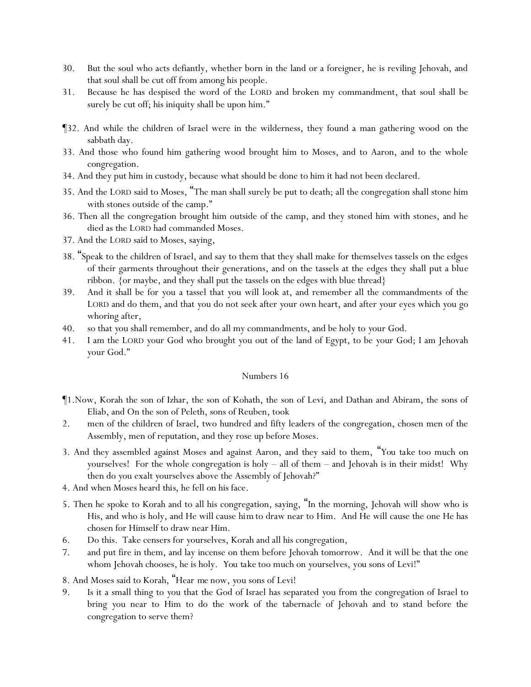- 30. But the soul who acts defiantly, whether born in the land or a foreigner, he is reviling Jehovah, and that soul shall be cut off from among his people.
- 31. Because he has despised the word of the LORD and broken my commandment, that soul shall be surely be cut off; his iniquity shall be upon him."
- ¶32. And while the children of Israel were in the wilderness, they found a man gathering wood on the sabbath day.
- 33. And those who found him gathering wood brought him to Moses, and to Aaron, and to the whole congregation.
- 34. And they put him in custody, because what should be done to him it had not been declared.
- 35. And the LORD said to Moses, "The man shall surely be put to death; all the congregation shall stone him with stones outside of the camp."
- 36. Then all the congregation brought him outside of the camp, and they stoned him with stones, and he died as the LORD had commanded Moses.
- 37. And the LORD said to Moses, saying,
- 38. "Speak to the children of Israel, and say to them that they shall make for themselves tassels on the edges of their garments throughout their generations, and on the tassels at the edges they shall put a blue ribbon. {or maybe, and they shall put the tassels on the edges with blue thread}
- 39. And it shall be for *y*ou a tassel that *y*ou will look at, and remember all the commandments of the LORD and do them, and that *y*ou do not seek after *y*our own heart, and after *y*our eyes which *y*ou go whoring after,
- 40. so that *y*ou shall remember, and do all my commandments, and be holy to *y*our God.
- 41. I am the LORD *y*our God who brought *y*ou out of the land of Egypt, to be *y*our God; I am Jehovah *y*our God."

- ¶1.Now, Korah the son of Izhar, the son of Kohath, the son of Levi, and Dathan and Abiram, the sons of Eliab, and On the son of Peleth, sons of Reuben, took
- 2. men of the children of Israel, two hundred and fifty leaders of the congregation, chosen men of the Assembly, men of reputation, and they rose up before Moses.
- 3. And they assembled against Moses and against Aaron, and they said to them, "*You take* too much on *y*ourselves! For the whole congregation is holy – all of them – and Jehovah is in their midst! Why then do *y*ou exalt *y*ourselves above the Assembly of Jehovah?"
- 4. And when Moses heard *this*, he fell on his face.
- 5. Then he spoke to Korah and to all his congregation, saying, "In the morning, Jehovah will show who is His, and who is holy, and He will cause *him* to draw near to Him. And He will cause the one He has chosen for Himself to draw near Him.
- 6. Do this. Take censers for *y*ourselves, Korah and all his congregation,
- 7. and put fire in them, and lay incense on them before Jehovah tomorrow. And it will be that the one whom Jehovah chooses, he is holy. *You take* too much on *y*ourselves, *you* sons of Levi!"
- 8. And Moses said to Korah, "Hear *me* now, *y*ou sons of Levi!
- 9. Is it a small thing to *y*ou that the God of Israel has separated *y*ou from the congregation of Israel to bring *y*ou near to Him to do the work of the tabernacle of Jehovah and to stand before the congregation to serve them?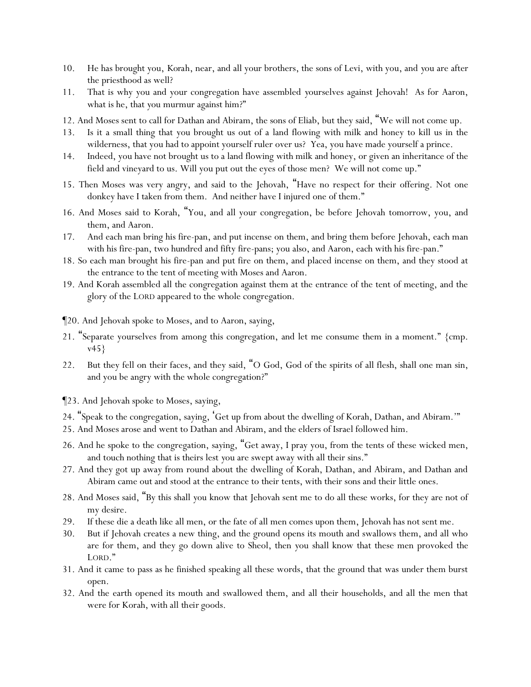- 10. He has brought you, *Korah,* near, and all your brothers, the sons of Levi, with you, and *y*ou are after the priesthood as well?
- 11. That is why you and your congregation have assembled *y*ourselves against Jehovah! As for Aaron, what is he, that *y*ou murmur against him?"
- 12. And Moses sent to call for Dathan and Abiram, the sons of Eliab, but they said, "We will not come up.
- 13. Is it a small thing that you brought us out of a land flowing with milk and honey to kill us in the wilderness, that you had to appoint yourself ruler over us? Yea, you have made yourself a prince.
- 14. Indeed, you have not brought us to a land flowing with milk and honey, or given an inheritance of the field and vineyard to us. Will you put out the eyes of those men? We will not come up."
- 15. Then Moses was very angry, and said to the Jehovah, "Have no respect for their offering. Not one donkey have I taken from them. And neither have I injured one of them."
- 16. And Moses said to Korah, "You, and all your congregation, be before Jehovah tomorrow, you, and them, and Aaron.
- 17. And each man bring his fire-pan, and put incense on them, and bring them before Jehovah, each man with his fire-pan, two hundred and fifty fire-pans; you also, and Aaron, each with his fire-pan."
- 18. So each man brought his fire-pan and put fire on them, and placed incense on them, and they stood at the entrance to the tent of meeting with Moses and Aaron.
- 19. And Korah assembled all the congregation against them at the entrance of the tent of meeting, and the glory of the LORD appeared to the whole congregation.
- ¶20. And Jehovah spoke to Moses, and to Aaron, saying,
- 21. "Separate yourselves from among this congregation, and let me consume them in a moment." {cmp. v45}
- 22. But they fell on their faces, and they said, "O God, God of the spirits of all flesh, shall one man sin, and you be angry with the whole congregation?"
- ¶23. And Jehovah spoke to Moses, saying,
- 24. "Speak to the congregation, saying, 'Get up from about the dwelling of Korah, Dathan, and Abiram.'"
- 25. And Moses arose and went to Dathan and Abiram, and the elders of Israel followed him.
- 26. And he spoke to the congregation, saying, "Get away, I pray you, from the tents of these wicked men, and touch nothing that is theirs lest *y*ou are swept away with all their sins."
- 27. And they got up away from round about the dwelling of Korah, Dathan, and Abiram, and Dathan and Abiram came out and stood at the entrance to their tents, with their sons and their little ones.
- 28. And Moses said, "By this shall *y*ou know that Jehovah sent me to do all these works, for they are not of my desire.
- 29. If these die a death like all men, or the fate of all men comes upon them, Jehovah has not sent me.
- 30. But if Jehovah creates a new thing, and the ground opens its mouth and swallows them, and all who are for them, and they go down alive to Sheol, then *y*ou shall know that these men provoked the LORD."
- 31. And it came to pass as he finished speaking all these words, that the ground that was under them burst open.
- 32. And the earth opened its mouth and swallowed them, and all their households, and all the men that were for Korah, with all *their* goods.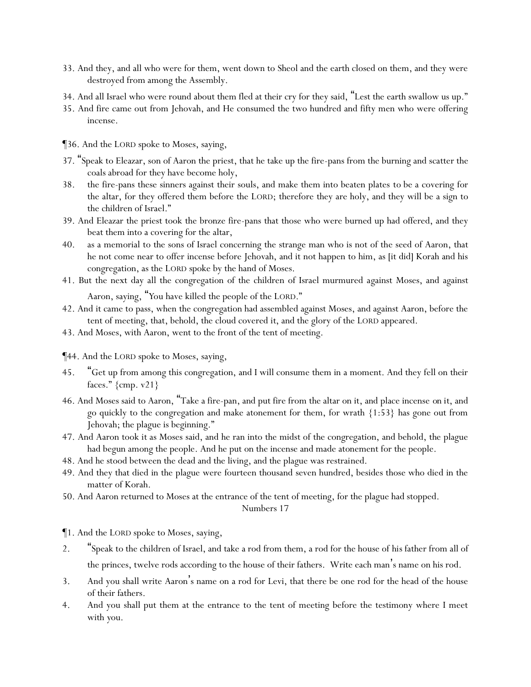- 33. And they, and all who were for them, went down to Sheol and the earth closed on them, and they were destroyed from among the Assembly.
- 34. And all Israel who were round about them fled at their cry for they said, "Lest the earth swallow us up."
- 35. And fire came out from Jehovah, and He consumed the two hundred and fifty men who were offering incense.
- ¶36. And the LORD spoke to Moses, saying,
- 37. "Speak to Eleazar, son of Aaron the priest, that he take up the fire-pans from the burning and scatter the coals abroad for they have become holy,
- 38. the fire-pans these sinners against their souls, and make them into beaten plates *to be* a covering for the altar, for they offered them before the LORD; therefore they are holy, and they will be a sign to the children of Israel."
- 39. And Eleazar the priest took the bronze fire-pans that those who were burned up had offered, and they beat them into a covering for the altar,
- 40. as a memorial to the sons of Israel concerning the strange man who is not of the seed of Aaron, that he not come near to offer incense before Jehovah, and it not happen to him, as [it did] Korah and his congregation, as the LORD spoke by the hand of Moses.
- 41. But the next day all the congregation of the children of Israel murmured against Moses, and against Aaron, saying, "*Y*ou have killed the people of the LORD."

- 42. And it came to pass, when the congregation had assembled against Moses, and against Aaron, before the tent of meeting, that, behold, the cloud covered *it*, and the glory of the LORD appeared.
- 43. And Moses, with Aaron, went to the front of the tent of meeting.
- ¶44. And the LORD spoke to Moses, saying,
- 45. "Get up from among this congregation, and I will consume them in a moment. And they fell on their faces."  ${cmp. v21}$
- 46. And Moses said to Aaron, "Take a fire-pan, and put fire from the altar on it, and place incense *on it*, and go quickly to the congregation and make atonement for them, for wrath {1:53} has gone out from Jehovah; the plague is beginning."
- 47. And Aaron took *it* as Moses said, and he ran into the midst of the congregation, and behold, the plague had begun among the people. And he put on the incense and made atonement for the people.
- 48. And he stood between the dead and the living, and the plague was restrained.
- 49. And they that died in the plague were fourteen thousand seven hundred, besides those who died in the matter of Korah.
- 50. And Aaron returned to Moses at the entrance of the tent of meeting, for the plague had stopped.

¶1. And the LORD spoke to Moses, saying,

- 2. "Speak to the children of Israel, and take a rod from them, a rod for the house of *his* father from all of the princes, twelve rods according to the house of their fathers. Write each man's name on his rod.
- 3. And you shall write Aaron's name on a rod for Levi, that there be one rod for the head of the house of their fathers.
- 4. And you shall put them at the entrance to the tent of meeting before the testimony where I meet with *y*ou.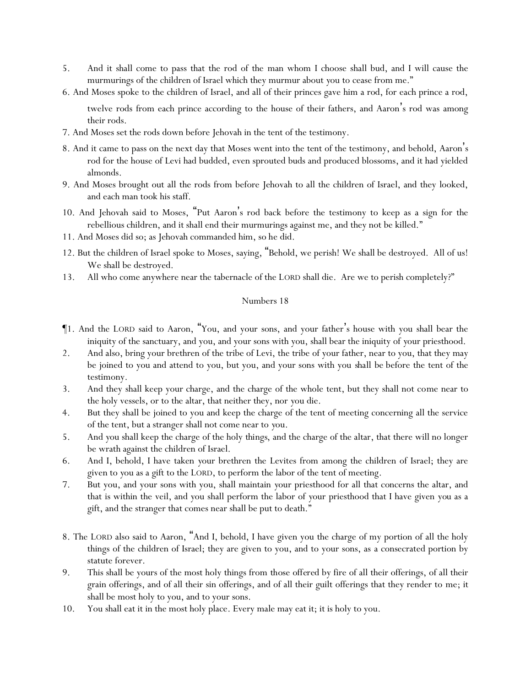- 5. And it shall come to pass that the rod of the man whom I choose shall bud, and I will cause the murmurings of the children of Israel which they murmur about *y*ou to cease from me."
- 6. And Moses spoke to the children of Israel, and all of their princes gave him a rod, for each prince a rod,

twelve rods from each prince according to the house of their fathers, and Aaron 's rod was among their rods.

- 7. And Moses set the rods down before Jehovah in the tent of the testimony.
- 8. And it came to pass on the next day that Moses went into the tent of the testimony, and behold, Aaron 's rod for the house of Levi had budded, even sprouted buds and produced blossoms, and it had yielded almonds.
- 9. And Moses brought out all the rods from before Jehovah to all the children of Israel, and they looked, and each man took his staff.
- 10. And Jehovah said to Moses, "Put Aaron's rod back before the testimony to keep as a sign for the rebellious children, and it shall end their murmurings against me, and they not be killed."
- 11. And Moses did so; as Jehovah commanded him, so he did.
- 12. But the children of Israel spoke to Moses, saying, "Behold, we perish! We shall be destroyed. All of us! We shall be destroyed.
- 13. All who come anywhere near the tabernacle of the LORD shall die. Are we to perish completely?"

- ¶1. And the LORD said to Aaron, "You, and your sons, and your father's house with you shall bear the iniquity of the sanctuary, and you, and your sons with you, shall bear the iniquity of *y*our priesthood.
- 2. And also, bring your brethren of the tribe of Levi, the tribe of your father, near to you, that they may be joined to you and attend to you, but you, and your sons with you *shall be* before the tent of the testimony.
- 3. And they shall keep your charge, and the charge of the whole tent, but they shall not come near to the holy vessels, or to the altar, that neither they, nor *y*ou die.
- 4. But they shall be joined to you and keep the charge of the tent of meeting concerning all the service of the tent, but a stranger shall not come near to *y*ou.
- 5. And *y*ou shall keep the charge of the holy *things*, and the charge of the altar, that there will no longer be wrath against the children of Israel.
- 6. And I, behold, I have taken *y*our brethren the Levites from among the children of Israel; they are given to *y*ou as a gift to the LORD, to perform the labor of the tent of meeting.
- 7. But you, and your sons with you, shall maintain *y*our priesthood for all that concerns the altar, and that is within the veil, and *y*ou shall perform the labor of *y*our priesthood that I have given *you* as a gift, and the stranger that comes near shall be put to death."
- 8. The LORD also said to Aaron, "And I, behold, I have given you the charge of my portion of all the holy things of the children of Israel; they are given to you, and to your sons, as a consecrated portion by statute forever.
- 9. This shall be yours of the most holy things from *those offered* by fire of all their offerings, of all their grain offerings, and of all their sin offerings, and of all their guilt offerings that they render to me; it shall be most holy to you, and to your sons.
- 10. You shall eat it in the most holy place. Every male may eat it; it is holy to you.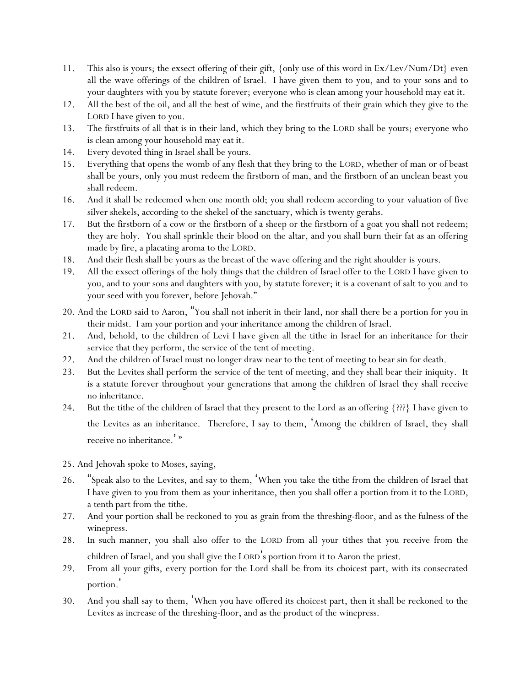- 11. This also is yours; the exsect offering of their gift, {only use of this word in Ex/Lev/Num/Dt} even all the wave offerings of the children of Israel. I have given them to you, and to your sons and to your daughters with you by statute forever; everyone who is clean among your household may eat it.
- 12. All the best of the oil, and all the best of wine, and the firstfruits of their grain which they give to the LORD I have given to you.
- 13. The firstfruits of all that is in their land, which they bring to the LORD shall be yours; everyone who is clean among your household may eat it.
- 14. Every devoted thing in Israel shall be yours.
- 15. Everything that opens the womb of any flesh that they bring to the LORD, whether of man or of beast shall be yours, only you must redeem the firstborn of man, and the firstborn of an unclean beast you shall redeem.
- 16. And it shall be redeemed when one month old; you shall redeem according to your valuation of five silver shekels, according to the shekel of the sanctuary, which is twenty gerahs.
- 17. But the firstborn of a cow or the firstborn of a sheep or the firstborn of a goat you shall not redeem; they are holy. You shall sprinkle their blood on the altar, and you shall burn their fat as an offering made by fire, a placating aroma to the LORD.
- 18. And their flesh shall be yours as the breast of the wave offering and the right shoulder is yours.
- 19. All the exsect offerings of the holy things that the children of Israel offer to the LORD I have given to you, and to your sons and daughters with you, by statute forever; it is a covenant of salt to you and to your seed with you forever, before Jehovah."
- 20. And the LORD said to Aaron, "You shall not inherit in their land, nor shall there be a portion for you in their midst. I am your portion and your inheritance among the children of Israel.
- 21. And, behold, to the children of Levi I have given all the tithe in Israel for an inheritance for their service that they perform, the service of the tent of meeting.
- 22. And the children of Israel must no longer draw near to the tent of meeting to bear sin for death.
- 23. But the Levites shall perform the service of the tent of meeting, and they shall bear their iniquity. It is a statute forever throughout *y*our generations that among the children of Israel they shall receive no inheritance.
- 24. But the tithe of the children of Israel that they present to the Lord as an offering {???} I have given to the Levites as an inheritance. Therefore, I say to them, 'Among the children of Israel, they shall receive no inheritance.'"
- 25. And Jehovah spoke to Moses, saying,
- 26. "Speak also to the Levites, and say to them, 'When *y*ou take the tithe from the children of Israel that I have given to *y*ou from them as *y*our inheritance, then *y*ou shall offer a portion from it to the LORD, a tenth part from the tithe.
- 27. And *y*our portion shall be reckoned to *y*ou as grain from the threshing-floor, and as the fulness of the winepress.
- 28. In such manner, *y*ou shall also offer to the LORD from all *y*our tithes that *y*ou receive from the children of Israel, and *y*ou shall give the LORD's portion from it to Aaron the priest.
- 29. From all *y*our gifts, every portion for the Lord shall be from its choicest part, with its consecrated portion.'
- 30. And you shall say to them, 'When you have offered its choicest part, then it shall be reckoned to the Levites as increase of the threshing-floor, and as the product of the winepress.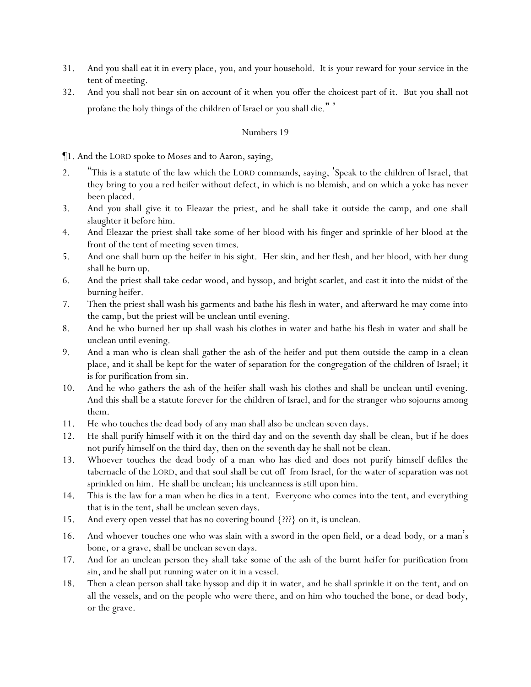- 31. And *y*ou shall eat it in every place, *y*ou, and *y*our household. It is *y*our reward for *y*our service in the tent of meeting.
- 32. And *y*ou shall not bear sin on account of it when *y*ou offer the choicest part of it. But *y*ou shall not profane the holy things of the children of Israel or *y*ou shall die. " '

¶1. And the LORD spoke to Moses and to Aaron, saying,

- 2. "This is a statute of the law which the LORD commands, saying, 'Speak to the children of Israel, that they bring to you a red heifer without defect, in which is no blemish, *and* on which a yoke has never been placed.
- 3. And *y*ou shall give it to Eleazar the priest, and he shall take it outside the camp, and one shall slaughter it before him.
- 4. And Eleazar the priest shall take some of her blood with his finger and sprinkle of her blood at the front of the tent of meeting seven times.
- 5. And one shall burn up the heifer in his sight. Her skin, and her flesh, and her blood, with her dung shall he burn up.
- 6. And the priest shall take cedar wood, and hyssop, and bright scarlet, and cast it into the midst of the burning heifer.
- 7. Then the priest shall wash his garments and bathe his flesh in water, and afterward he may come into the camp, but the priest will be unclean until evening.
- 8. And he who burned her up shall wash his clothes in water and bathe his flesh in water and shall be unclean until evening.
- 9. And a man who is clean shall gather the ash of the heifer and put them outside the camp in a clean place, and it shall be kept for the water of separation for the congregation of the children of Israel; it is for purification from sin.
- 10. And he who gathers the ash of the heifer shall wash his clothes and shall be unclean until evening. And this shall be a statute forever for the children of Israel, and for the stranger who sojourns among them.
- 11. He who touches the dead body of any man shall also be unclean seven days.
- 12. He shall purify himself with it on the third day and on the seventh day shall be clean, but if he does not purify himself on the third day, then on the seventh day he shall not be clean.
- 13. Whoever touches the dead body of a man who has died and does not purify himself defiles the tabernacle of the LORD, and that soul shall be cut off from Israel, for the water of separation was not sprinkled on him. He shall be unclean; his uncleanness is still upon him.
- 14. This is the law for a man when he dies in a tent. Everyone who comes into the tent, and everything that is in the tent, shall be unclean seven days.
- 15. And every open vessel that has no covering bound {???} on it, is unclean.
- 16. And whoever touches one who was slain with a sword in the open field, or a dead *body*, or a man 's bone, or a grave, shall be unclean seven days.
- 17. And for an unclean person they shall take some of the ash of the burnt *heifer* for purification from sin, and he shall put running water on it in a vessel.
- 18. Then a clean person shall take hyssop and dip it in water, and he shall sprinkle it on the tent, and on all the vessels, and on the people who were there, and on him who touched the bone, or dead *body*, or the grave.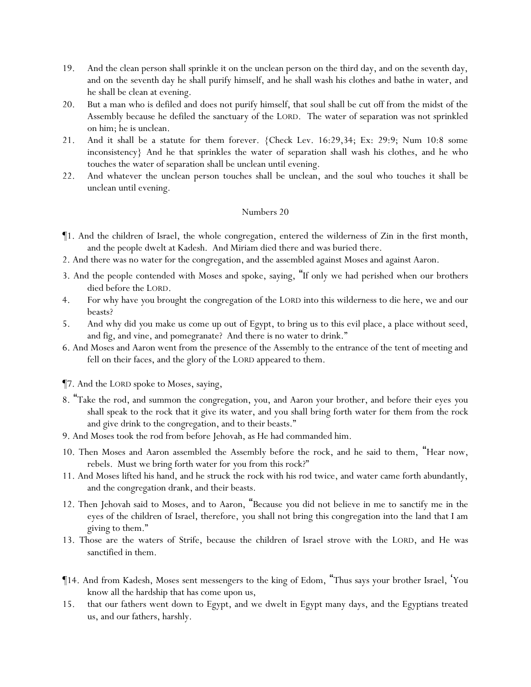- 19. And the clean person shall sprinkle it on the unclean person on the third day, and on the seventh day, and on the seventh day he shall purify himself, and he shall wash his clothes and bathe in water, and he shall be clean at evening.
- 20. But a man who is defiled and does not purify himself, that soul shall be cut off from the midst of the Assembly because he defiled the sanctuary of the LORD. The water of separation was not sprinkled on him; he is unclean.
- 21. And it shall be a statute for them forever. {Check Lev. 16:29,34; Ex: 29:9; Num 10:8 some inconsistency} And he that sprinkles the water of separation shall wash his clothes, and he who touches the water of separation shall be unclean until evening.
- 22. And whatever the unclean person touches shall be unclean, and the soul who touches *it* shall be unclean until evening.

- ¶1. And the children of Israel, the whole congregation, entered the wilderness of Zin in the first month, and the people dwelt at Kadesh. And Miriam died there and was buried there.
- 2. And there was no water for the congregation, and the assembled against Moses and against Aaron.
- 3. And the people contended with Moses and spoke, saying, "If only we had perished when our brothers died before the LORD.
- 4. For why have *y*ou brought the congregation of the LORD into this wilderness to die here, we and our beasts?
- 5. And why did *y*ou make us come up out of Egypt, to bring us to this evil place, a place without seed, and fig, and vine, and pomegranate? And there is no water to drink."
- 6. And Moses and Aaron went from the presence of the Assembly to the entrance of the tent of meeting and fell on their faces, and the glory of the LORD appeared to them.
- ¶7. And the LORD spoke to Moses, saying,
- 8. "Take the rod, and summon the congregation, you, and Aaron your brother, and before their eyes *y*ou shall speak to the rock that it give its water, and you shall bring forth water for them from the rock and give drink to the congregation, and to their beasts."
- 9. And Moses took the rod from before Jehovah, as He had commanded him.
- 10. Then Moses and Aaron assembled the Assembly before the rock, and he said to them, "Hear now, rebels. Must we bring forth water for *y*ou from this rock?"
- 11. And Moses lifted his hand, and he struck the rock with his rod twice, and water came forth abundantly, and the congregation drank, and their beasts.
- 12. Then Jehovah said to Moses, and to Aaron, "Because *y*ou did not believe in me to sanctify me in the eyes of the children of Israel, therefore, *y*ou shall not bring this congregation into the land that I am giving to them."
- 13. Those are the waters of Strife, because the children of Israel strove with the LORD, and He was sanctified in them.
- ¶14. And from Kadesh, Moses sent messengers to the king of Edom, "Thus says your brother Israel, 'You know all the hardship that has come upon us,
- 15. that our fathers went down to Egypt, and we dwelt in Egypt many days, and the Egyptians treated us, and our fathers, harshly.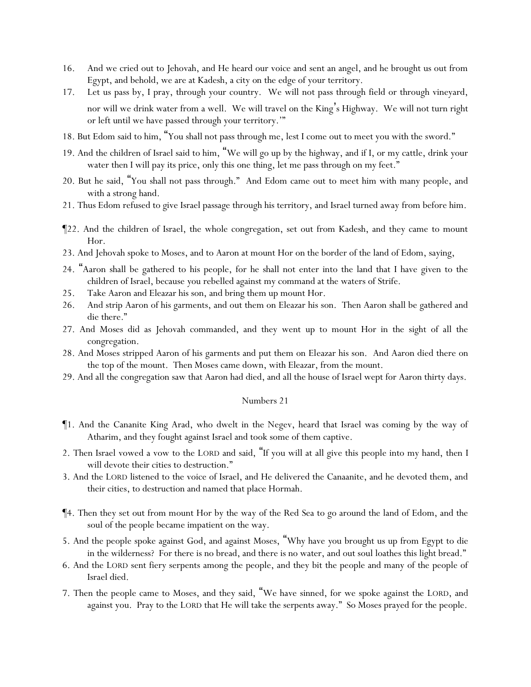- 16. And we cried out to Jehovah, and He heard our voice and sent an angel, and he brought us out from Egypt, and behold, we are at Kadesh, a city on the edge of your territory.
- 17. Let us pass by, I pray, through your country. We will not pass through field or through vineyard, nor will we drink water from a well. We will travel on the King's Highway. We will not turn right or left until we have passed through your territory.'"
- 18. But Edom said to him, "You shall not pass through me, lest I come out to meet you with the sword."
- 19. And the children of Israel said to him, "We will go up by the highway, and if I, or my cattle, drink your water then I will pay its price, only this one thing, let me pass through on my feet."
- 20. But he said, "You shall not pass through." And Edom came out to meet him with many people, and with a strong hand.
- 21. Thus Edom refused to give Israel passage through his territory, and Israel turned away from before him.
- ¶22. And the children of Israel, the whole congregation, set out from Kadesh, and they came to mount Hor.
- 23. And Jehovah spoke to Moses, and to Aaron at mount Hor on the border of the land of Edom, saying,
- 24. "Aaron shall be gathered to his people, for he shall not enter into the land that I have given to the children of Israel, because *y*ou rebelled against my command at the waters of Strife.
- 25. Take Aaron and Eleazar his son, and bring them up mount Hor.
- 26. And strip Aaron of his garments, and out them on Eleazar his son. Then Aaron shall be gathered and die there."
- 27. And Moses did as Jehovah commanded, and they went up to mount Hor in the sight of all the congregation.
- 28. And Moses stripped Aaron of his garments and put them on Eleazar his son. And Aaron died there on the top of the mount. Then Moses came down, with Eleazar, from the mount.
- 29. And all the congregation saw that Aaron had died, and all the house of Israel wept for Aaron thirty days.

- ¶1. And the Cananite King Arad, who dwelt in the Negev, heard that Israel was coming by the way of Atharim, and they fought against Israel and took some of them captive.
- 2. Then Israel vowed a vow to the LORD and said, "If you will at all give this people into my hand, then I will devote their cities to destruction."
- 3. And the LORD listened to the voice of Israel, and He delivered the Canaanite, and he devoted them, and their cities, to destruction and named that place Hormah.
- ¶4. Then they set out from mount Hor by the way of the Red Sea to go around the land of Edom, and the soul of the people became impatient on the way.
- 5. And the people spoke against God, and against Moses, "Why have *y*ou brought us up from Egypt to die in the wilderness? For there is no bread, and there is no water, and out soul loathes this light bread."
- 6. And the LORD sent fiery serpents among the people, and they bit the people and many of the people of Israel died.
- 7. Then the people came to Moses, and they said, "We have sinned, for we spoke against the LORD, and against you. Pray to the LORD that He will take the serpents away." So Moses prayed for the people.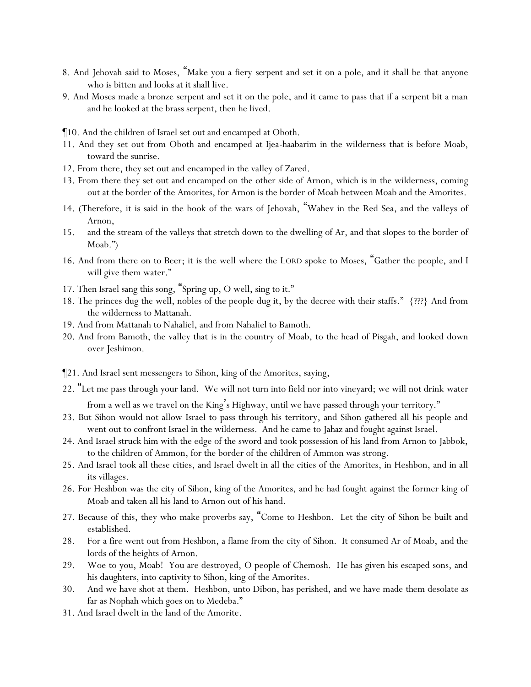- 8. And Jehovah said to Moses, "Make you a fiery *serpent* and set it on a pole, and it shall be that anyone who is bitten and looks at it shall live.
- 9. And Moses made a bronze serpent and set it on the pole, and it came to pass that if a serpent bit a man and he looked at the brass serpent, then he lived.
- ¶10. And the children of Israel set out and encamped at Oboth.
- 11. And they set out from Oboth and encamped at Ijea-haabarim in the wilderness that is before Moab, toward the sunrise.
- 12. From there, they set out and encamped in the valley of Zared.
- 13. From there they set out and encamped on the other side of Arnon, which is in the wilderness, coming out at the border of the Amorites, for Arnon is the border of Moab between Moab and the Amorites.
- 14. (Therefore, it is said in the book of the wars of Jehovah, "Wahev in the Red Sea, and the valleys of Arnon,
- 15. and the stream of the valleys that stretch down to the dwelling of Ar, and that slopes to the border of Moab.")
- 16. And from there on to Beer; it is the well where the LORD spoke to Moses, "Gather the people, and I will give them water."
- 17. Then Israel sang this song, "Spring up, O well, sing to it."
- 18. The princes dug the well, nobles of the people dug it, by the decree with their staffs." {???} And from the wilderness to Mattanah.
- 19. And from Mattanah to Nahaliel, and from Nahaliel to Bamoth.
- 20. And from Bamoth, the valley that is in the country of Moab, to the head of Pisgah, and looked down over Jeshimon.
- ¶21. And Israel sent messengers to Sihon, king of the Amorites, saying,
- 22. "Let me pass through your land. We will not turn into field nor into vineyard; we will not drink water from a well as we travel on the King's Highway, until we have passed through your territory."
- 23. But Sihon would not allow Israel to pass through his territory, and Sihon gathered all his people and went out to confront Israel in the wilderness. And he came to Jahaz and fought against Israel.
- 24. And Israel struck him with the edge of the sword and took possession of his land from Arnon to Jabbok, to the children of Ammon, for the border of the children of Ammon was strong.
- 25. And Israel took all these cities, and Israel dwelt in all the cities of the Amorites, in Heshbon, and in all its villages.
- 26. For Heshbon was the city of Sihon, king of the Amorites, and he had fought against the former king of Moab and taken all his land to Arnon out of his hand.
- 27. Because of this, they who make proverbs say, "Come to Heshbon. Let the city of Sihon be built and established.
- 28. For a fire went out from Heshbon, a flame from the city of Sihon. It consumed Ar of Moab, *and* the lords of the heights of Arnon.
- 29. Woe to you, Moab! You are destroyed, O people of Chemosh. He has given his escaped sons, and his daughters, into captivity to Sihon, king of the Amorites.
- 30. And we have shot at them. Heshbon, unto Dibon, has perished, and we have made them desolate as far as Nophah which goes on to Medeba."
- 31. And Israel dwelt in the land of the Amorite.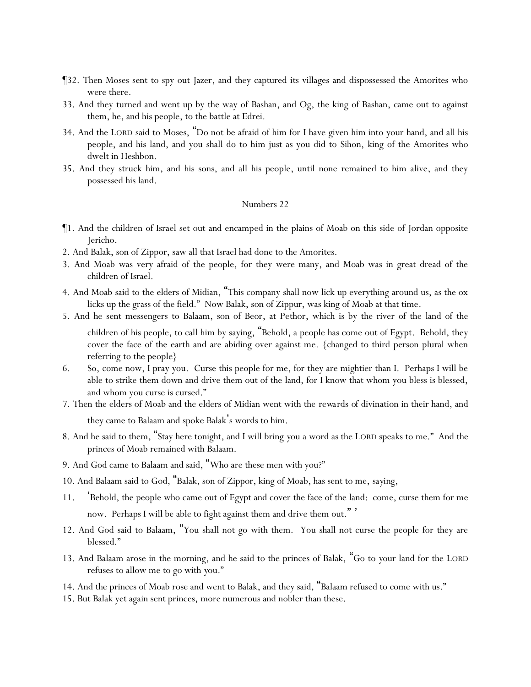- ¶32. Then Moses sent to spy out Jazer, and they captured its villages and dispossessed the Amorites who were there.
- 33. And they turned and went up by the way of Bashan, and Og, the king of Bashan, came out to against them, he, and his people, to the battle at Edrei.
- 34. And the LORD said to Moses, "Do not be afraid of him for I have given him into your hand, and all his people, and his land, and you shall do to him just as you did to Sihon, king of the Amorites who dwelt in Heshbon.
- 35. And they struck him, and his sons, and all his people, until none remained to him alive, and they possessed his land.

- ¶1. And the children of Israel set out and encamped in the plains of Moab on this side of Jordan opposite Jericho.
- 2. And Balak, son of Zippor, saw all that Israel had done to the Amorites.
- 3. And Moab was very afraid of the people, for they were many, and Moab was in great dread of the children of Israel.
- 4. And Moab said to the elders of Midian, "This company shall now lick up everything around us, as the ox licks up the grass of the field." Now Balak, son of Zippur, was king of Moab at that time.
- 5. And he sent messengers to Balaam, son of Beor, at Pethor, which is by the river of the land of the children of his people, to call him by saying, "Behold, a people has come out of Egypt. Behold, they cover the face of the earth and are abiding over against me. {changed to third person plural when referring to the people}
- 6. So, come now, I pray you. Curse this people for me, for they are mightier than I. Perhaps I will be able to strike them down and drive them out of the land, for I know that whom you bless is blessed, and whom you curse is cursed."
- 7. Then the elders of Moab and the elders of Midian went with the *rewards of* divination in their hand, and they came to Balaam and spoke Balak's words to him.
- 8. And he said to them, "Stay here tonight, and I will bring *y*ou a word as the LORD speaks to me." And the princes of Moab remained with Balaam.
- 9. And God came to Balaam and said, "Who are these men with you?"
- 10. And Balaam said to God, "Balak, son of Zippor, king of Moab, has sent to me, *saying,*
- 11. 'Behold, the people who came out of Egypt and cover the face of the land: come, curse them for me now. Perhaps I will be able to fight against them and drive them out. " '
- 12. And God said to Balaam, "You shall not go with them. You shall not curse the people for they are blessed."
- 13. And Balaam arose in the morning, and he said to the princes of Balak, "Go to *y*our land for the LORD refuses to allow me to go with *y*ou."
- 14. And the princes of Moab rose and went to Balak, and they said, "Balaam refused to come with us."
- 15. But Balak yet again sent princes, more numerous and nobler than these.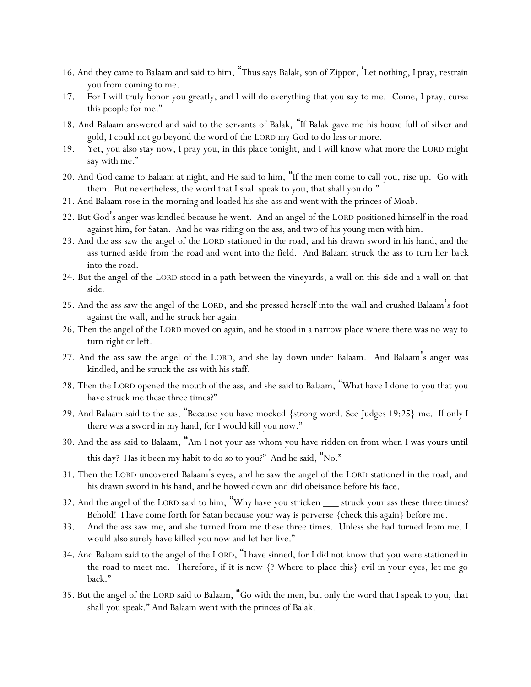- 16. And they came to Balaam and said to him, "Thus says Balak, son of Zippor, 'Let nothing, I pray, restrain you from coming to me.
- 17. For I will truly honor you greatly, and I will do everything that you say to me. Come, I pray, curse this people for me."
- 18. And Balaam answered and said to the servants of Balak, "If Balak gave me his house full of silver and gold, I could not go beyond the word of the LORD my God to do less or more.
- 19. Yet, you also stay now, I pray you, in this *place* tonight, and I will know what more the LORD might say with me."
- 20. And God came to Balaam at night, and He said to him, "If the men come to call you, rise up. Go with them. But nevertheless, the word that I shall speak to you, that shall you do."
- 21. And Balaam rose in the morning and loaded his she-ass and went with the princes of Moab.
- 22. But God's anger was kindled because he went. And an angel of the LORD positioned himself in the road against him, for Satan. And he was riding on the ass, and two of his young men with him.
- 23. And the ass saw the angel of the LORD stationed in the road, and his drawn sword in his hand, and the ass turned aside from the road and went into the field. And Balaam struck the ass to turn her *back* into the road.
- 24. But the angel of the LORD stood in a path *between* the vineyards, a wall on this *side* and a wall on that *side*.
- 25. And the ass saw the angel of the LORD, and she pressed herself into the wall and crushed Balaam's foot against the wall, and he struck her again.
- 26. Then the angel of the LORD moved on again, and he stood in a narrow place where there was no way to turn right or left.
- 27. And the ass saw the angel of the LORD, and she lay down under Balaam. And Balaam's anger was kindled, and he struck the ass with his staff.
- 28. Then the LORD opened the mouth of the ass, and she said to Balaam, "What have I done to you that you have struck me these three times?"
- 29. And Balaam said to the ass, "Because you have mocked {strong word. See Judges 19:25} me. If only I there was a sword in my hand, for I would kill you now."
- 30. And the ass said to Balaam, "Am I not your ass whom you have ridden on from when I was yours until this day? Has it been my habit to do so to you?" And he said, "No."
- 31. Then the LORD uncovered Balaam's eyes, and he saw the angel of the LORD stationed in the road, and his drawn sword in his hand, and he bowed down and did obeisance before his face.
- 32. And the angel of the LORD said to him, "Why have you stricken \_\_\_ struck your ass these three times? Behold! I have come forth for Satan because your way is perverse {check this again} before me.
- 33. And the ass saw me, and she turned from me these three times. Unless she had turned from me, I would also surely have killed you now and let her live."
- 34. And Balaam said to the angel of the LORD, "I have sinned, for I did not know that you were stationed in the road to meet me. Therefore, if it is now {? Where to place this} evil in your eyes, let me go back."
- 35. But the angel of the LORD said to Balaam, "Go with the men, but only the word that I speak to you, that shall you speak." And Balaam went with the princes of Balak.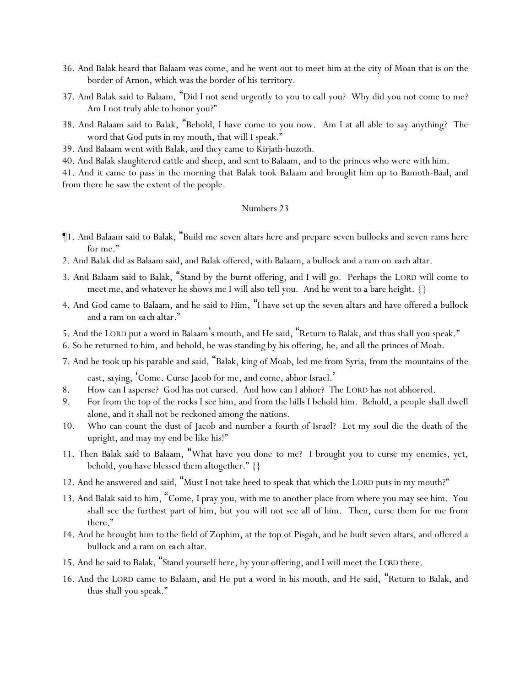- 36. And Balak heard that Balaam was come, and he went out to meet him at the city of Moan that is on the border of Arnon, which was the border of his territory.
- 37. And Balak said to Balaam, "Did I not send urgently to you to call you? Why did you not come to me? Am I not truly able to honor you?"
- 38. And Balaam said to Balak, "Behold, I have come to you now. Am I at all able to say anything? The word that God puts in my mouth, that will I speak."
- 39. And Balaam went with Balak, and they came to Kirjath-huzoth.
- 40. And Balak slaughtered cattle and sheep, and sent to Balaam, and to the princes who were with him.

41. And it came to pass in the morning that Balak took Balaam and brought him up to Bamoth-Baal, and from there he saw the extent of the people.

- ¶1. And Balaam said to Balak, "Build me seven altars here and prepare seven bullocks and seven rams here for me."
- 2. And Balak did as Balaam said, and Balak offered, with Balaam, a bullock and a ram on *each* altar.
- 3. And Balaam said to Balak, "Stand by the burnt offering, and I will go. Perhaps the LORD will come to meet me, and whatever he shows me I will also tell you. And he went to a bare height. {}
- 4. And God came to Balaam, and he said to Him, "I have set up the seven altars and have offered a bullock and a ram on *each* altar."
- 5. And the LORD put a word in Balaam's mouth, and He said, "Return to Balak, and thus shall you speak."
- 6. So he returned to him, and behold, he was standing by his offering, he, and all the princes of Moab.
- 7. And he took up his parable and said, "Balak, king of Moab, led me from Syria, from the mountains of the east, *saying*, 'Come. Curse Jacob for me, and come, abhor Israel. '
- 8. How can I asperse? God has not cursed. And how can I abhor? The LORD has not abhorred.
- 9. For from the top of the rocks I see him, and from the hills I behold him. Behold, a people shall dwell alone, and it shall not be reckoned among the nations.
- 10. Who can count the dust of Jacob and number a fourth of Israel? Let my soul die the death of the upright, and may my end be like his!"
- 11. Then Balak said to Balaam, "What have you done to me? I brought you to curse my enemies, yet, behold, you have blessed *them* altogether." {}
- 12. And he answered and said, "Must I not take heed to speak that which the LORD puts in my mouth?"
- 13. And Balak said to him, "Come, I pray you, with me to another place from where you may see him. You shall see the furthest part of him, but you will not see all of him. Then, curse them for me from there."
- 14. And he brought him to the field of Zophim, at the top of Pisgah, and he built seven altars, and offered a bullock and a ram on *each* altar.
- 15. And he said to Balak, "Stand yourself here, by your offering, and I will meet *the LORD* there.
- 16. And the LORD came to Balaam, and He put a word in his mouth, and He said, "Return to Balak, and thus shall you speak."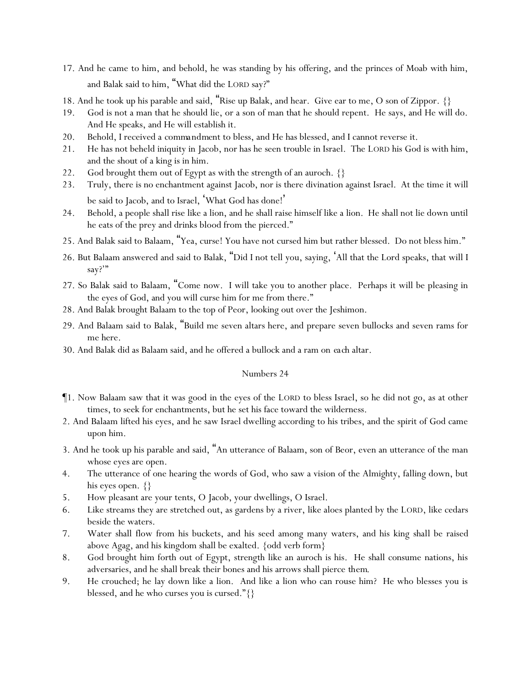- 17. And he came to him, and behold, he was standing by his offering, and the princes of Moab with him, and Balak said to him, "What did the LORD say?"
- 18. And he took up his parable and said, "Rise up Balak, and hear. Give ear to me, O son of Zippor.  $\{\}$
- 19. God is not a man that he should lie, or a son of man that he should repent. He says, and He will do. And He speaks, and He will establish it.
- 20. Behold, I received a *commandment* to bless, and He has blessed, and I cannot reverse it.
- 21. He has not beheld iniquity in Jacob, nor has he seen trouble in Israel. The LORD his God is with him, and the shout of a king is in him.
- 22. God brought them out of Egypt as with the strength of an auroch. {}
- 23. Truly, there is no enchantment against Jacob, nor is there divination against Israel. At the time it will be said to Jacob, and to Israel, 'What God has done!'
- 24. Behold, a people shall rise like a lion, and he shall raise himself like a lion. He shall not lie down until he eats of the prey and drinks blood from the pierced."
- 25. And Balak said to Balaam, "Yea, curse! You have not cursed him but rather blessed. Do not bless him."
- 26. But Balaam answered and said to Balak, "Did I not tell you, saying, 'All that the Lord speaks, that will I say?"
- 27. So Balak said to Balaam, "Come now. I will take you to another place. Perhaps it will be pleasing in the eyes of God, and you will curse him for me from there."
- 28. And Balak brought Balaam to the top of Peor, looking out over the Jeshimon.
- 29. And Balaam said to Balak, "Build me seven altars here, and prepare seven bullocks and seven rams for me here.
- 30. And Balak did as Balaam said, and he offered a bullock and a ram on *each* altar.

- ¶1. Now Balaam saw that it was good in the eyes of the LORD to bless Israel, so he did not go, as at other times, to seek for enchantments, but he set his face toward the wilderness.
- 2. And Balaam lifted his eyes, and he saw Israel dwelling according to his tribes, and the spirit of God came upon him.
- 3. And he took up his parable and said, "An utterance of Balaam, son of Beor, even an utterance of the man whose eyes are open.
- 4. The utterance of one hearing the words of God, who saw a vision of the Almighty, falling down, but his eyes open.  $\{\}$
- 5. How pleasant are your tents, O Jacob, your dwellings, O Israel.
- 6. Like streams they are stretched out, as gardens by a river, like aloes planted by the LORD, like cedars beside the waters.
- 7. Water shall flow from his buckets, and his seed among many waters, and his king shall be raised above Agag, and his kingdom shall be exalted. {odd verb form}
- 8. God brought him forth out of Egypt, strength like an auroch is his. He shall consume nations, his adversaries, and he shall break their bones and his arrows shall pierce *them*.
- 9. He crouched; he lay down like a lion. And like a lion who can rouse him? He who blesses you is blessed, and he who curses you is cursed."{}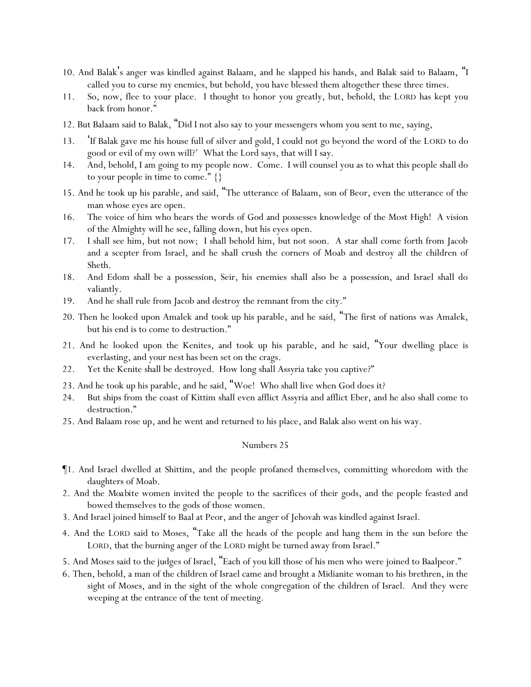- 10. And Balak's anger was kindled against Balaam, and he slapped his hands, and Balak said to Balaam, "I called you to curse my enemies, but behold, you have blessed them altogether these three times.
- 11. So, now, flee to your place. I thought to honor you greatly, but, behold, the LORD has kept you back from honor."
- 12. But Balaam said to Balak, "Did I not also say to your messengers whom you sent to me, saying,
- 13. 'If Balak gave me his house full of silver and gold, I could not go beyond the word of the LORD to do good or evil of my own will?' What the Lord says, that will I say.
- 14. And, behold, I am going to my people now. Come. I will counsel you as to what this people shall do to your people in time to come." {}
- 15. And he took up his parable, and said, "The utterance of Balaam, son of Beor, even the utterance of the man whose eyes are open.
- 16. The voice of him who hears the words of God and possesses knowledge of the Most High! A vision of the Almighty will he see, falling down, but his eyes open.
- 17. I shall see him, but not now; I shall behold him, but not soon. A star shall come forth from Jacob and a scepter from Israel, and he shall crush the corners of Moab and destroy all the children of Sheth.
- 18. And Edom shall be a possession, Seir, his enemies shall also be a possession, and Israel shall do valiantly.
- 19. And he shall rule from Jacob and destroy the remnant from the city."
- 20. Then he looked upon Amalek and took up his parable, and he said, "The first of nations was Amalek, but his end is to come to destruction."
- 21. And he looked upon the Kenites, and took up his parable, and he said, "Your dwelling place is everlasting, and your nest has been set on the crags.
- 22. Yet the Kenite shall be destroyed. How long shall Assyria take you captive?"
- 23. And he took up his parable, and he said, "Woe! Who shall live when God does it?
- 24. But ships from the coast of Kittim shall even afflict Assyria and afflict Eber, and he also shall come to destruction."
- 25. And Balaam rose up, and he went and returned to his place, and Balak also went on his way.

- ¶1. And Israel dwelled at Shittim, and the people profaned *themselves*, committing whoredom with the daughters of Moab.
- 2. And the *Moabite* women invited the people to the sacrifices of their gods, and the people feasted and bowed themselves to the gods of those women.
- 3. And Israel joined himself to Baal at Peor, and the anger of Jehovah was kindled against Israel.
- 4. And the LORD said to Moses, "Take all the heads of the people and hang them in the sun before the LORD, that the burning anger of the LORD might be turned away from Israel."
- 5. And Moses said to the judges of Israel, "Each of you kill those of his men who were joined to Baalpeor."
- 6. Then, behold, a man of the children of Israel came and brought a Midianite woman to his brethren, in the sight of Moses, and in the sight of the whole congregation of the children of Israel. And they were weeping at the entrance of the tent of meeting.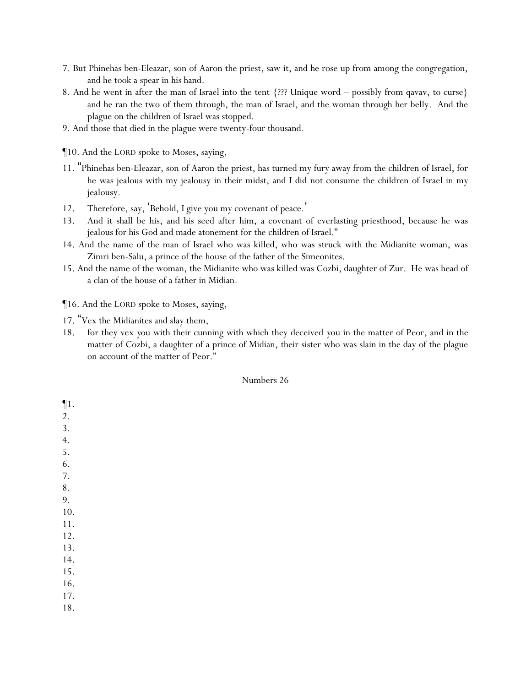- 7. But Phinehas ben-Eleazar, son of Aaron the priest, saw it, and he rose up from among the congregation, and he took a spear in his hand.
- 8. And he went in after the man of Israel into the tent  $\{??\}$ ? Unique word possibly from qavav, to curse and he ran the two of them through, the man of Israel, and the woman through her belly. And the plague on the children of Israel was stopped.
- 9. And those that died in the plague were twenty-four thousand.
- ¶10. And the LORD spoke to Moses, saying,
- 11. "Phinehas ben-Eleazar, son of Aaron the priest, has turned my fury away from the children of Israel, for he was jealous with my jealousy in their midst, and I did not consume the children of Israel in my jealousy.
- 12. Therefore, say, 'Behold, I give you my covenant of peace.'
- 13. And it shall be his, and his seed after him, a covenant of everlasting priesthood, because he was jealous for his God and made atonement for the children of Israel."
- 14. And the name of the man of Israel who was killed, who was struck with the Midianite woman, was Zimri ben-Salu, a prince of the house of the father of the Simeonites.
- 15. And the name of the woman, the Midianite who was killed was Cozbi, daughter of Zur. He was head of a clan of the house of a father in Midian.

¶16. And the LORD spoke to Moses, saying,

- 17. "Vex the Midianites and slay them,
- 18. for they vex *y*ou with their cunning with which they deceived *y*ou in the matter of Peor, and in the matter of Cozbi, a daughter of a prince of Midian, their sister who was slain in the day of the plague on account of the matter of Peor."

#### Numbers 26

¶1. 2.

3.

- 4.
- 5.
- 6.
- 7.
- 8.
- 9.
- 10.
- 11.
- 12.
- 13.
- 14. 15.
- 16.
- 17.
- 
- 18.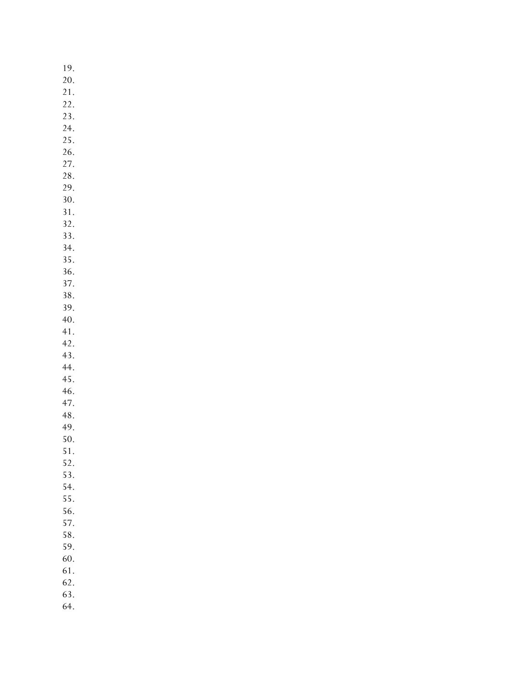19. 20. 21. 22. 23. 24. 25. 26. 27. 28. 29. 30. 31. 32. 33. 34. 35. 36. 37. 38. 39. 40. 41. 42. 43. 44. 45. 46. 47. 48. 49. 50. 51. 52. 53. 54. 55. 56. 57. 58. 59. 60. 61. 62. 63. 64.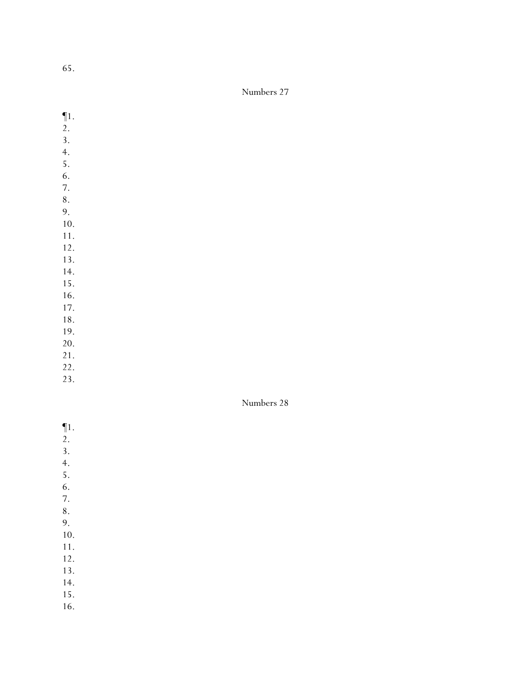65.

## Numbers 27

- ¶1.
- 2.
- 3.
- 4.
- 5.
- 6. 7.
- 8.
- 9.
- 10.
- 11.
- 12.
- 13.
- 14.
- 15.
- 16.
- 17.
- 18. 19.
- 20.
- 21.
- 22.
- 23.

- ¶1.
- 2.
- 3.
- 4.
- 5.
- 6.
- 7.
- 8.
- 9.
- 10. 11.
- 12.
- 13.
- 14.
- 15.
- 16.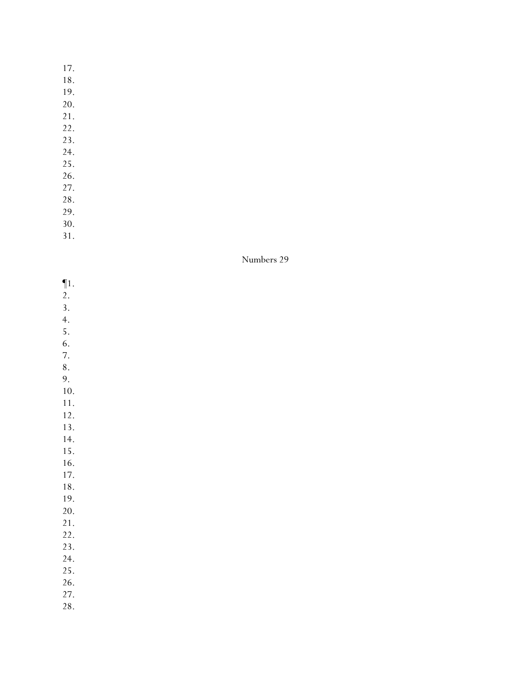17.

18.

19.

- 20.
- 21.
- 22.
- 23.
- 24. 25.
- 26.
- 27.
- 28.
- 29.
- 30.
- 31.

| $\P1.$    |  |  |  |
|-----------|--|--|--|
| 2.        |  |  |  |
| 3.        |  |  |  |
| 4.        |  |  |  |
| 5.        |  |  |  |
| 6.        |  |  |  |
| 7.        |  |  |  |
| $\bf 8$ . |  |  |  |
| 9.        |  |  |  |
| 10.       |  |  |  |
| 11.       |  |  |  |
| 12.       |  |  |  |
| 13.       |  |  |  |
| 14.       |  |  |  |
| 15.       |  |  |  |
| 16.       |  |  |  |
| 17.       |  |  |  |
| $18. \,$  |  |  |  |
| 19.       |  |  |  |
| 20.       |  |  |  |
| 21.       |  |  |  |
| 22.       |  |  |  |
| 23.       |  |  |  |
| 24.       |  |  |  |
| 25.       |  |  |  |
| 26.       |  |  |  |
| 27.       |  |  |  |
| 28.       |  |  |  |
|           |  |  |  |
|           |  |  |  |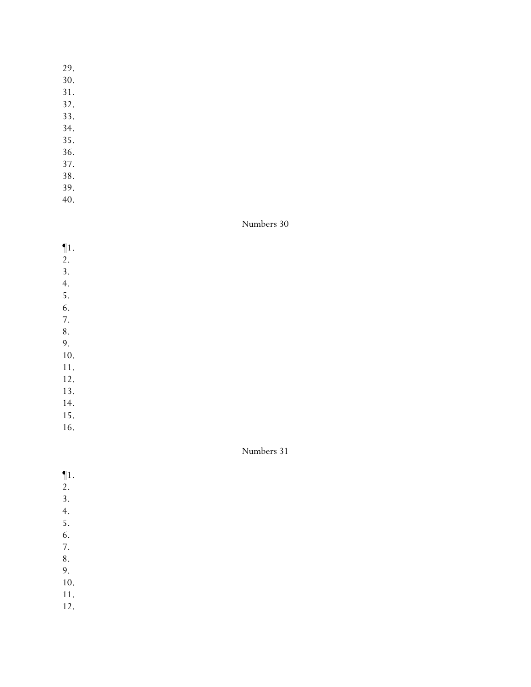- 29.
- 30.
- 31.
- 32.
- 33.
- 34.
- 35.
- 36.
- 37.
- 38. 39.
- 40.

- ¶1.
- 2.
- 3.
- 4.
- 5.
- 6.
- 7.
- 8.

9. 10.

- 11.
- 12.
- 13.
- 14.
- 15.
- 16.

- ¶1.
- 2.
- 3.
- 4.
- 5.
- 6.
- 7. 8.
- 9.
- 10.
- 11.
- 12.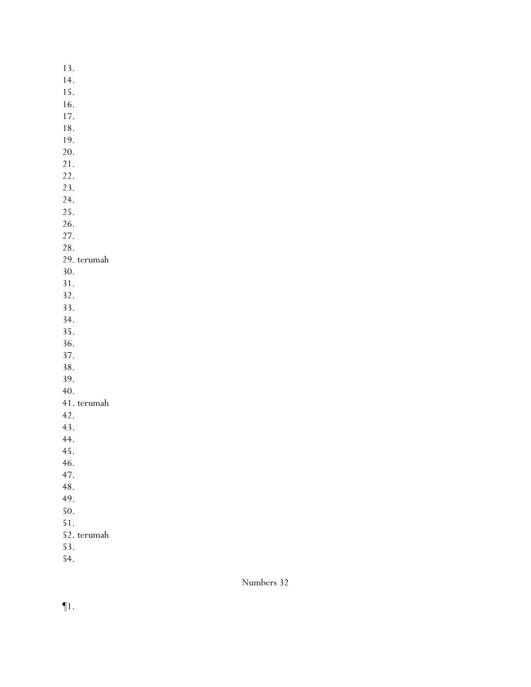13. 14. 15. 16. 17. 18. 19. 20. 21. 22. 23. 24. 25. 26. 27. 28. 29. terumah 30. 31. 32. 33. 34. 35. 36. 37. 38. 39. 40. 41. terumah 42. 43. 44. 45. 46. 47. 48. 49. 50. 51. 52. terumah 53.

54.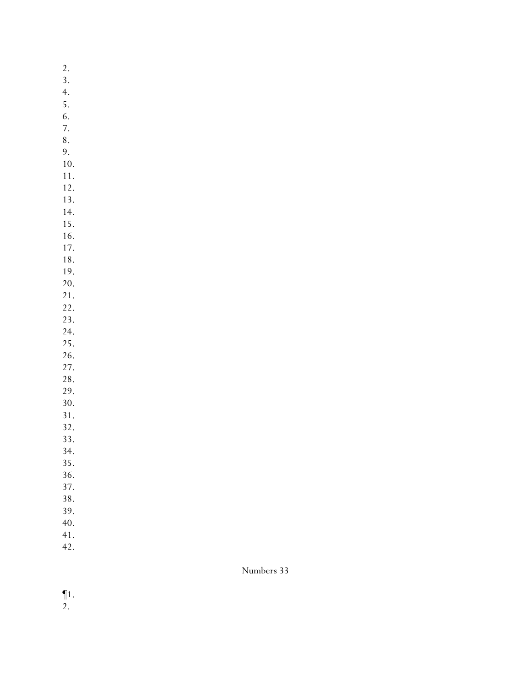2. 3. 4. 5. 6. 7.

- 8. 9.
- 10.
- 11.
- 12.
- 13. 14.
- 15.
- 16.
- 17.
- 18.
- 19.
- 20. 21.
- 22.
- 23.
- 24.
- 25. 26.
- 27.
- 28.
- 29.
- 30.
- 31. 32.
- 33.
- 34.
- 35.
- 36.
- 37.
- 38. 39.
- 40.
- 41.
- 42.

- ¶1.
- 2.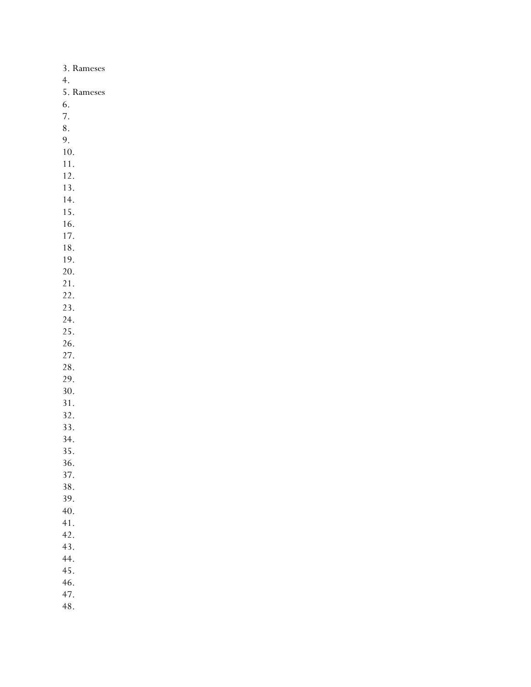| 3. Rameses    |
|---------------|
| 4.            |
| 5.<br>Rameses |
| 6.            |
| 7.            |
| 8.            |
| 9.            |
| 10.           |
| 11.           |
| 12.           |
| 13.           |
| 14.           |
| 15.           |
| 16.           |
| 17.           |
| 18.           |
| 19.           |
| 20.           |
| 21.           |
| 22.           |
| 23.           |
| 24.           |
| 25.           |
| 26.           |
| 27.           |
| 28.           |
| 29.           |
| 30.           |
| 31.           |
| 32.           |
| 33.           |
| 34.           |
| 35            |
| 36.           |
| 37.           |
| 38.           |
| 39.           |
| 40.           |
| 41.           |
| 42.           |
| 43.           |
| 44.           |
| 45.           |
| 46.           |
| 47.           |
| 48.           |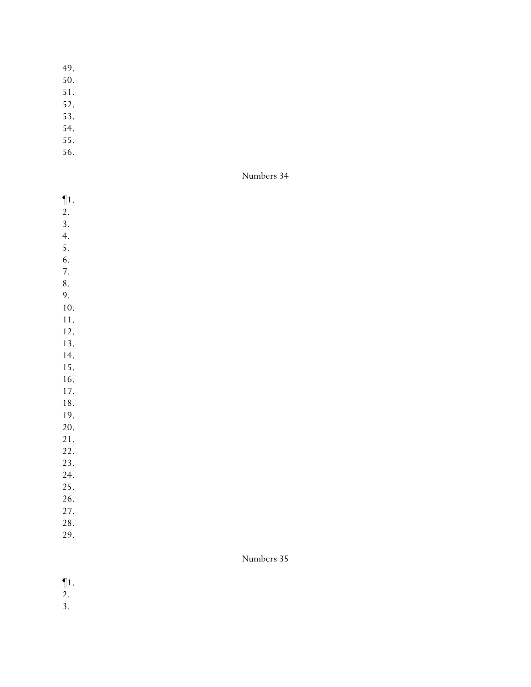- 49.
- 50.
- 51.
- 52.
- 53.
- 54.
- 55.
- 56.

Numbers 34

- ¶1.
- 2.
- 3.
- 4.
- 5.
- 6.
- 7. 8.
- 9.
- 10.
- 11.
- 12.
- 13. 14.
- 15.
- 16.
- 17.
- 18.
- 19.
- 20.
- 21.
- 22. 23.
- 24.
- 25.
- 26.
- 27.
- 28.
- 29.

- ¶1.
- 2.
- 3.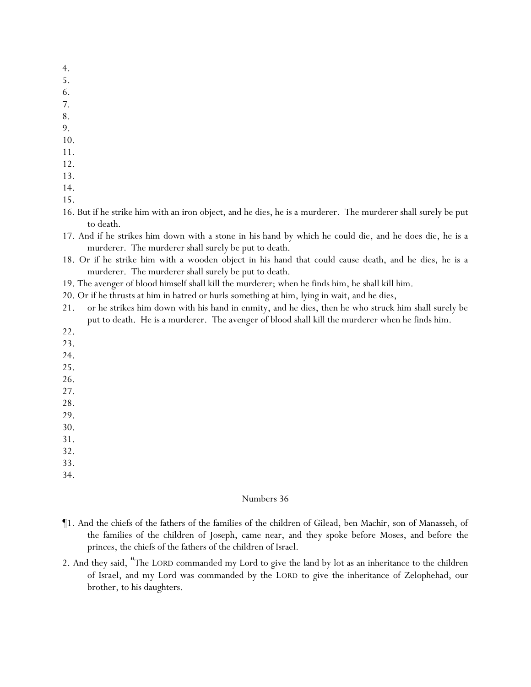- 4.
- 5.
- 6.
- 7.
- 8.
- 9.
- 10.
- 11.
- 12.
- 13.
- 14.
- 15.
- 16. But if he strike him with an iron object, and he dies, he is a murderer. The murderer shall surely be put to death.
- 17. And if he strikes him down with a stone in *his* hand by which he could die, and he does die, he is a murderer. The murderer shall surely be put to death.
- 18. Or if he strike him with a wooden object in *his* hand that could cause death, and he dies, he is a murderer. The murderer shall surely be put to death.
- 19. The avenger of blood himself shall kill the murderer; when he finds him, he shall kill him.
- 20. Or if he thrusts at him in hatred or hurls *something* at him, lying in wait, and he dies,
- 21. or he strikes him down with his hand in enmity, and he dies, then he who struck him shall surely be put to death. He is a murderer. The avenger of blood shall kill the murderer when he finds him.
- 22.
- 23.
- 24.
- 25.
- 26.
- 27. 28.
- 
- 29. 30.
- 31.
- 32.
- 33.
- 34.

- ¶1. And the chiefs of the fathers of the families of the children of Gilead, ben Machir, son of Manasseh, of the families of the children of Joseph, came near, and they spoke before Moses, and before the princes, the chiefs of the fathers of the children of Israel.
- 2. And they said, "The LORD commanded my Lord to give the land by lot as an inheritance to the children of Israel, and my Lord was commanded by the LORD to give the inheritance of Zelophehad, our brother, to his daughters.